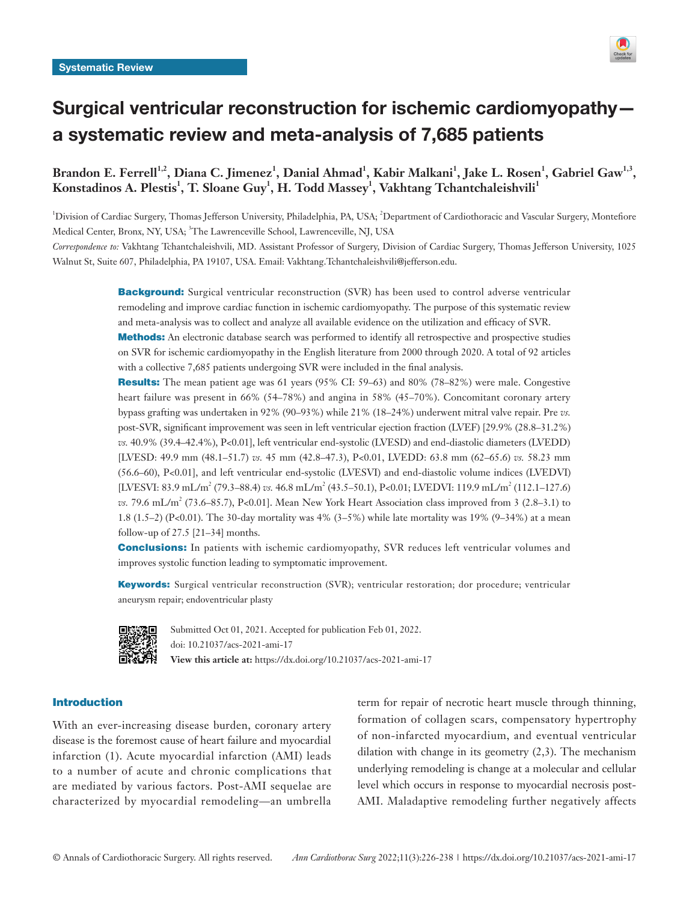

# Surgical ventricular reconstruction for ischemic cardiomyopathy a systematic review and meta-analysis of 7,685 patients

Brandon E. Ferrell<sup>1,2</sup>, Diana C. Jimenez<sup>1</sup>, Danial Ahmad<sup>1</sup>, Kabir Malkani<sup>1</sup>, Jake L. Rosen<sup>1</sup>, Gabriel Gaw<sup>1,3</sup>,  $\boldsymbol{\mathrm{K}}$ onstadinos A. Plestis $^{1}$ , T. Sloane Guy $^{1}$ , H. Todd Massey $^{1}$ , Vakhtang Tchantchaleishvili $^{1}$ 

<sup>1</sup>Division of Cardiac Surgery, Thomas Jefferson University, Philadelphia, PA, USA; <sup>2</sup>Department of Cardiothoracic and Vascular Surgery, Montefiore Medical Center, Bronx, NY, USA; <sup>3</sup>The Lawrenceville School, Lawrenceville, NJ, USA

*Correspondence to:* Vakhtang Tchantchaleishvili, MD. Assistant Professor of Surgery, Division of Cardiac Surgery, Thomas Jefferson University, 1025 Walnut St, Suite 607, Philadelphia, PA 19107, USA. Email: Vakhtang.Tchantchaleishvili@jefferson.edu.

> **Background:** Surgical ventricular reconstruction (SVR) has been used to control adverse ventricular remodeling and improve cardiac function in ischemic cardiomyopathy. The purpose of this systematic review and meta-analysis was to collect and analyze all available evidence on the utilization and efficacy of SVR.

> Methods: An electronic database search was performed to identify all retrospective and prospective studies on SVR for ischemic cardiomyopathy in the English literature from 2000 through 2020. A total of 92 articles with a collective 7,685 patients undergoing SVR were included in the final analysis.

> Results: The mean patient age was 61 years (95% CI: 59–63) and 80% (78–82%) were male. Congestive heart failure was present in 66% (54–78%) and angina in 58% (45–70%). Concomitant coronary artery bypass grafting was undertaken in 92% (90–93%) while 21% (18–24%) underwent mitral valve repair. Pre *vs.* post-SVR, significant improvement was seen in left ventricular ejection fraction (LVEF) [29.9% (28.8–31.2%) *vs.* 40.9% (39.4–42.4%), P<0.01], left ventricular end-systolic (LVESD) and end-diastolic diameters (LVEDD) [LVESD: 49.9 mm (48.1–51.7) *vs.* 45 mm (42.8–47.3), P<0.01, LVEDD: 63.8 mm (62–65.6) *vs.* 58.23 mm (56.6–60), P<0.01], and left ventricular end-systolic (LVESVI) and end-diastolic volume indices (LVEDVI) [LVESVI: 83.9 mL/m<sup>2</sup> (79.3–88.4) *vs.* 46.8 mL/m<sup>2</sup> (43.5–50.1), P<0.01; LVEDVI: 119.9 mL/m<sup>2</sup> (112.1–127.6) *vs.* 79.6 mL/m<sup>2</sup> (73.6–85.7), P<0.01]. Mean New York Heart Association class improved from 3 (2.8–3.1) to 1.8 (1.5–2) (P<0.01). The 30-day mortality was 4% (3–5%) while late mortality was 19% (9–34%) at a mean follow-up of 27.5 [21–34] months.

> **Conclusions:** In patients with ischemic cardiomyopathy, SVR reduces left ventricular volumes and improves systolic function leading to symptomatic improvement.

> Keywords: Surgical ventricular reconstruction (SVR); ventricular restoration; dor procedure; ventricular aneurysm repair; endoventricular plasty



Submitted Oct 01, 2021. Accepted for publication Feb 01, 2022. doi: 10.21037/acs-2021-ami-17 **View this article at:** https://dx.doi.org/10.21037/acs-2021-ami-17

# Introduction

With an ever-increasing disease burden, coronary artery disease is the foremost cause of heart failure and myocardial infarction (1). Acute myocardial infarction (AMI) leads to a number of acute and chronic complications that are mediated by various factors. Post-AMI sequelae are characterized by myocardial remodeling—an umbrella

term for repair of necrotic heart muscle through thinning, formation of collagen scars, compensatory hypertrophy of non-infarcted myocardium, and eventual ventricular dilation with change in its geometry  $(2,3)$ . The mechanism underlying remodeling is change at a molecular and cellular level which occurs in response to myocardial necrosis post-AMI. Maladaptive remodeling further negatively affects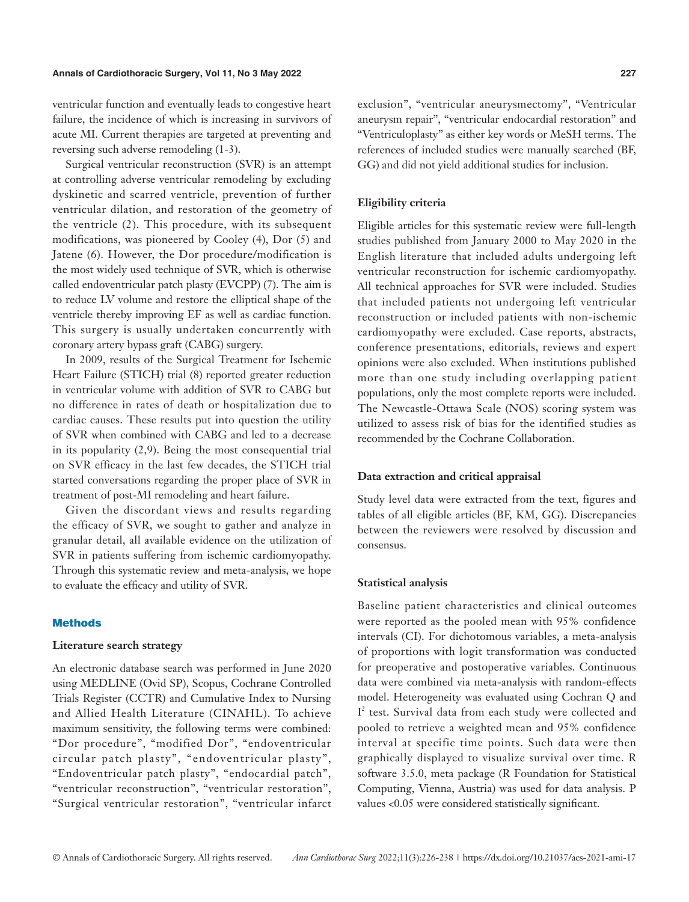ventricular function and eventually leads to congestive heart failure, the incidence of which is increasing in survivors of acute MI. Current therapies are targeted at preventing and reversing such adverse remodeling (1-3).

Surgical ventricular reconstruction (SVR) is an attempt at controlling adverse ventricular remodeling by excluding dyskinetic and scarred ventricle, prevention of further ventricular dilation, and restoration of the geometry of the ventricle (2). This procedure, with its subsequent modifications, was pioneered by Cooley (4), Dor (5) and Jatene (6). However, the Dor procedure/modification is the most widely used technique of SVR, which is otherwise called endoventricular patch plasty (EVCPP) (7). The aim is to reduce LV volume and restore the elliptical shape of the ventricle thereby improving EF as well as cardiac function. This surgery is usually undertaken concurrently with coronary artery bypass graft (CABG) surgery.

In 2009, results of the Surgical Treatment for Ischemic Heart Failure (STICH) trial (8) reported greater reduction in ventricular volume with addition of SVR to CABG but no difference in rates of death or hospitalization due to cardiac causes. These results put into question the utility of SVR when combined with CABG and led to a decrease in its popularity (2,9). Being the most consequential trial on SVR efficacy in the last few decades, the STICH trial started conversations regarding the proper place of SVR in treatment of post-MI remodeling and heart failure.

Given the discordant views and results regarding the efficacy of SVR, we sought to gather and analyze in granular detail, all available evidence on the utilization of SVR in patients suffering from ischemic cardiomyopathy. Through this systematic review and meta-analysis, we hope to evaluate the efficacy and utility of SVR.

# **Methods**

#### **Literature search strategy**

An electronic database search was performed in June 2020 using MEDLINE (Ovid SP), Scopus, Cochrane Controlled Trials Register (CCTR) and Cumulative Index to Nursing and Allied Health Literature (CINAHL). To achieve maximum sensitivity, the following terms were combined: "Dor procedure", "modified Dor", "endoventricular circular patch plasty", "endoventricular plasty", "Endoventricular patch plasty", "endocardial patch", "ventricular reconstruction", "ventricular restoration", "Surgical ventricular restoration", "ventricular infarct exclusion", "ventricular aneurysmectomy", "Ventricular aneurysm repair", "ventricular endocardial restoration" and "Ventriculoplasty" as either key words or MeSH terms. The references of included studies were manually searched (BF, GG) and did not yield additional studies for inclusion.

# **Eligibility criteria**

Eligible articles for this systematic review were full-length studies published from January 2000 to May 2020 in the English literature that included adults undergoing left ventricular reconstruction for ischemic cardiomyopathy. All technical approaches for SVR were included. Studies that included patients not undergoing left ventricular reconstruction or included patients with non-ischemic cardiomyopathy were excluded. Case reports, abstracts, conference presentations, editorials, reviews and expert opinions were also excluded. When institutions published more than one study including overlapping patient populations, only the most complete reports were included. The Newcastle-Ottawa Scale (NOS) scoring system was utilized to assess risk of bias for the identified studies as recommended by the Cochrane Collaboration.

# **Data extraction and critical appraisal**

Study level data were extracted from the text, figures and tables of all eligible articles (BF, KM, GG). Discrepancies between the reviewers were resolved by discussion and consensus.

# **Statistical analysis**

Baseline patient characteristics and clinical outcomes were reported as the pooled mean with 95% confidence intervals (CI). For dichotomous variables, a meta-analysis of proportions with logit transformation was conducted for preoperative and postoperative variables. Continuous data were combined via meta-analysis with random-effects model. Heterogeneity was evaluated using Cochran Q and I<sup>2</sup> test. Survival data from each study were collected and pooled to retrieve a weighted mean and 95% confidence interval at specific time points. Such data were then graphically displayed to visualize survival over time. R software 3.5.0, meta package (R Foundation for Statistical Computing, Vienna, Austria) was used for data analysis. P values <0.05 were considered statistically significant.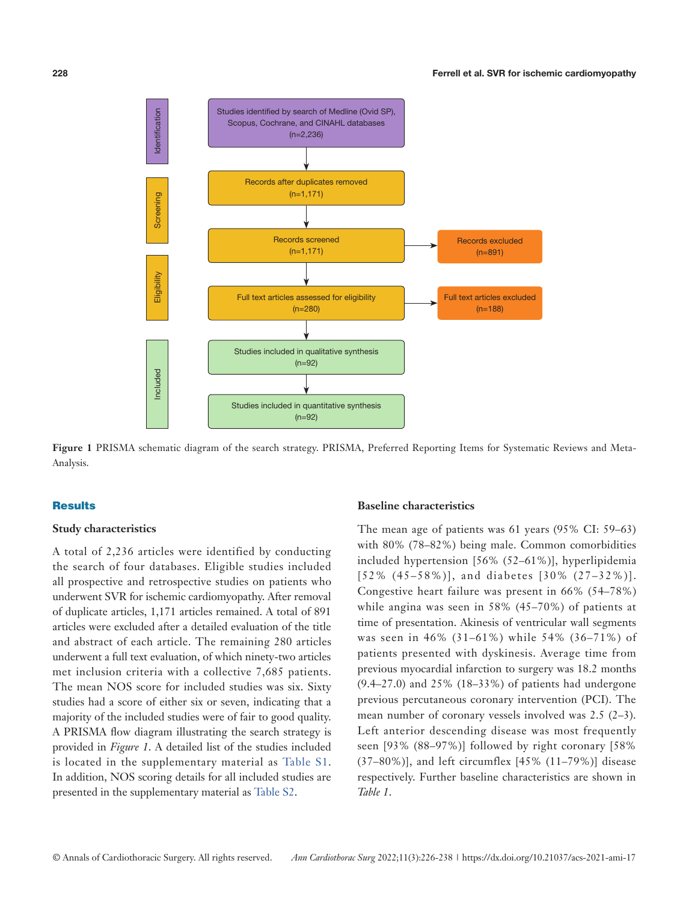

**Figure 1** PRISMA schematic diagram of the search strategy. PRISMA, Preferred Reporting Items for Systematic Reviews and Meta-Analysis.

#### **Results**

# **Study characteristics**

A total of 2,236 articles were identified by conducting the search of four databases. Eligible studies included all prospective and retrospective studies on patients who underwent SVR for ischemic cardiomyopathy. After removal of duplicate articles, 1,171 articles remained. A total of 891 articles were excluded after a detailed evaluation of the title and abstract of each article. The remaining 280 articles underwent a full text evaluation, of which ninety-two articles met inclusion criteria with a collective 7,685 patients. The mean NOS score for included studies was six. Sixty studies had a score of either six or seven, indicating that a majority of the included studies were of fair to good quality. A PRISMA flow diagram illustrating the search strategy is provided in *Figure 1*. A detailed list of the studies included is located in the supplementary material as [Table S1.](https://cdn.amegroups.cn/static/public/ACS-2021-AMI-17-Supplementary.pdf) In addition, NOS scoring details for all included studies are presented in the supplementary material as [Table S2.](https://cdn.amegroups.cn/static/public/ACS-2021-AMI-17-Supplementary.pdf)

# **Baseline characteristics**

The mean age of patients was 61 years (95% CI: 59–63) with 80% (78–82%) being male. Common comorbidities included hypertension [56% (52–61%)], hyperlipidemia [52% (45–58%)], and diabetes [30% (27–32%)]. Congestive heart failure was present in 66% (54–78%) while angina was seen in 58% (45–70%) of patients at time of presentation. Akinesis of ventricular wall segments was seen in 46% (31–61%) while 54% (36–71%) of patients presented with dyskinesis. Average time from previous myocardial infarction to surgery was 18.2 months (9.4–27.0) and 25% (18–33%) of patients had undergone previous percutaneous coronary intervention (PCI). The mean number of coronary vessels involved was 2.5 (2–3). Left anterior descending disease was most frequently seen [93% (88–97%)] followed by right coronary [58%  $(37–80\%)$ ], and left circumflex  $[45\% (11–79\%)]$  disease respectively. Further baseline characteristics are shown in *Table 1*.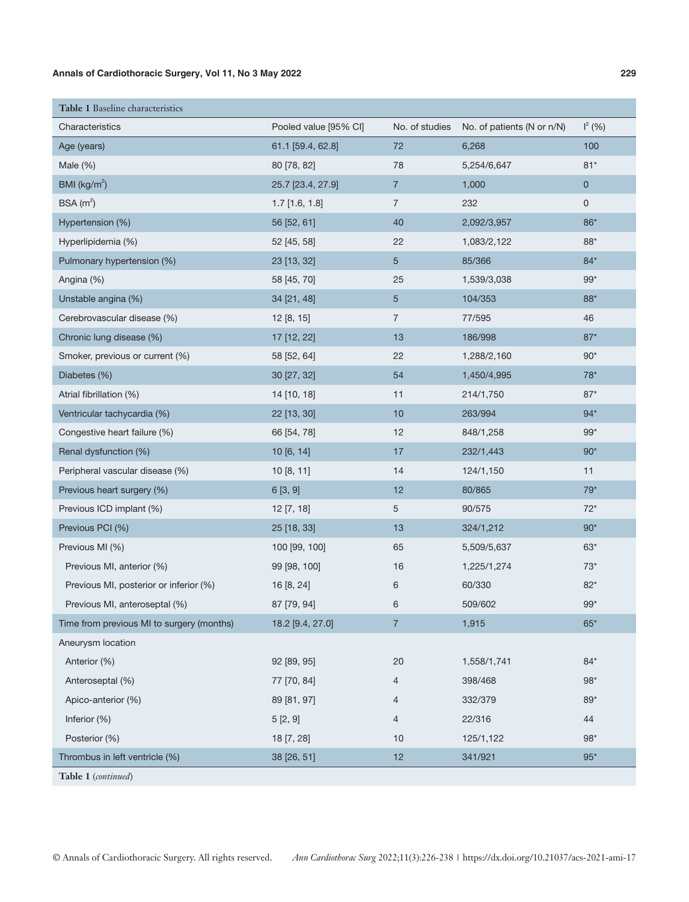| Table 1 Baseline characteristics          |                       |                |                            |           |
|-------------------------------------------|-----------------------|----------------|----------------------------|-----------|
| Characteristics                           | Pooled value [95% CI] | No. of studies | No. of patients (N or n/N) | $I^2(96)$ |
| Age (years)                               | 61.1 [59.4, 62.8]     | 72             | 6,268                      | 100       |
| Male $(\%)$                               | 80 [78, 82]           | 78             | 5,254/6,647                | $81*$     |
| BMI ( $\text{kg/m}^2$ )                   | 25.7 [23.4, 27.9]     | $\overline{7}$ | 1,000                      | $\pmb{0}$ |
| BSA $(m2)$                                | $1.7$ [1.6, 1.8]      | $\overline{7}$ | 232                        | 0         |
| Hypertension (%)                          | 56 [52, 61]           | 40             | 2,092/3,957                | 86*       |
| Hyperlipidemia (%)                        | 52 [45, 58]           | 22             | 1,083/2,122                | $88*$     |
| Pulmonary hypertension (%)                | 23 [13, 32]           | $\overline{5}$ | 85/366                     | $84*$     |
| Angina (%)                                | 58 [45, 70]           | 25             | 1,539/3,038                | $99*$     |
| Unstable angina (%)                       | 34 [21, 48]           | $\sqrt{5}$     | 104/353                    | 88*       |
| Cerebrovascular disease (%)               | 12 [8, 15]            | $\overline{7}$ | 77/595                     | 46        |
| Chronic lung disease (%)                  | 17 [12, 22]           | 13             | 186/998                    | $87*$     |
| Smoker, previous or current (%)           | 58 [52, 64]           | 22             | 1,288/2,160                | $90*$     |
| Diabetes (%)                              | 30 [27, 32]           | 54             | 1,450/4,995                | $78*$     |
| Atrial fibrillation (%)                   | 14 [10, 18]           | 11             | 214/1,750                  | $87*$     |
| Ventricular tachycardia (%)               | 22 [13, 30]           | 10             | 263/994                    | $94*$     |
| Congestive heart failure (%)              | 66 [54, 78]           | 12             | 848/1,258                  | $99*$     |
| Renal dysfunction (%)                     | 10 [6, 14]            | 17             | 232/1,443                  | $90*$     |
| Peripheral vascular disease (%)           | 10 [8, 11]            | 14             | 124/1,150                  | 11        |
| Previous heart surgery (%)                | 6[3, 9]               | 12             | 80/865                     | $79*$     |
| Previous ICD implant (%)                  | 12 [7, 18]            | 5              | 90/575                     | $72*$     |
| Previous PCI (%)                          | 25 [18, 33]           | 13             | 324/1,212                  | $90*$     |
| Previous MI (%)                           | 100 [99, 100]         | 65             | 5,509/5,637                | $63*$     |
| Previous MI, anterior (%)                 | 99 [98, 100]          | 16             | 1,225/1,274                | $73^*$    |
| Previous MI, posterior or inferior (%)    | 16 [8, 24]            | 6              | 60/330                     | $82*$     |
| Previous MI, anteroseptal (%)             | 87 [79, 94]           | 6              | 509/602                    | $99*$     |
| Time from previous MI to surgery (months) | 18.2 [9.4, 27.0]      | $\overline{7}$ | 1,915                      | $65*$     |
| Aneurysm location                         |                       |                |                            |           |
| Anterior (%)                              | 92 [89, 95]           | 20             | 1,558/1,741                | $84*$     |
| Anteroseptal (%)                          | 77 [70, 84]           | 4              | 398/468                    | $98*$     |
| Apico-anterior (%)                        | 89 [81, 97]           | 4              | 332/379                    | $89*$     |
| Inferior (%)                              | 5[2, 9]               | 4              | 22/316                     | 44        |
| Posterior (%)                             | 18 [7, 28]            | 10             | 125/1,122                  | $98*$     |
| Thrombus in left ventricle (%)            | 38 [26, 51]           | 12             | 341/921                    | $95*$     |
| Table 1 (continued)                       |                       |                |                            |           |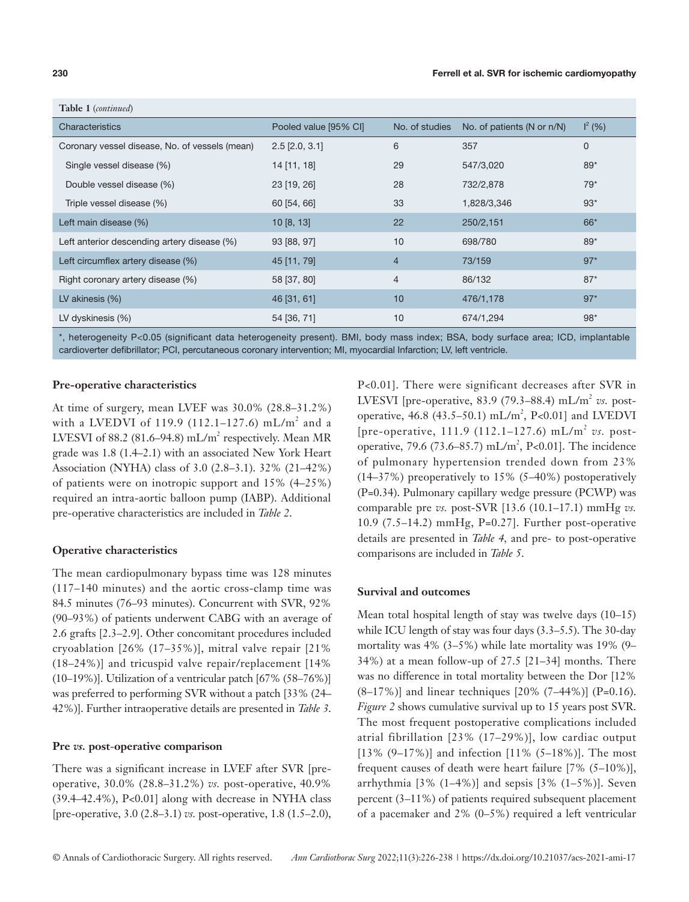| <b>Table 1</b> (continued)                     |                       |                |                               |                 |
|------------------------------------------------|-----------------------|----------------|-------------------------------|-----------------|
| Characteristics                                | Pooled value [95% CI] | No. of studies | No. of patients (N or $n/N$ ) | $\vert^{2}$ (%) |
| Coronary vessel disease, No. of vessels (mean) | $2.5$ [ $2.0, 3.1$ ]  | 6              | 357                           | $\mathbf 0$     |
| Single vessel disease (%)                      | 14 [11, 18]           | 29             | 547/3,020                     | $89*$           |
| Double vessel disease (%)                      | 23 [19, 26]           | 28             | 732/2,878                     | $79*$           |
| Triple vessel disease (%)                      | 60 [54, 66]           | 33             | 1,828/3,346                   | $93*$           |
| Left main disease (%)                          | 10[8, 13]             | 22             | 250/2,151                     | $66*$           |
| Left anterior descending artery disease (%)    | 93 [88, 97]           | 10             | 698/780                       | $89*$           |
| Left circumflex artery disease (%)             | 45 [11, 79]           | $\overline{4}$ | 73/159                        | $97*$           |
| Right coronary artery disease (%)              | 58 [37, 80]           | $\overline{4}$ | 86/132                        | $87*$           |
| LV akinesis $(\%)$                             | 46 [31, 61]           | 10             | 476/1,178                     | $97*$           |
| LV dyskinesis (%)                              | 54 [36, 71]           | 10             | 674/1,294                     | $98*$           |

\*, heterogeneity P<0.05 (significant data heterogeneity present). BMI, body mass index; BSA, body surface area; ICD, implantable cardioverter defibrillator; PCI, percutaneous coronary intervention; MI, myocardial Infarction; LV, left ventricle.

# **Pre-operative characteristics**

At time of surgery, mean LVEF was 30.0% (28.8–31.2%) with a LVEDVI of 119.9 (112.1–127.6) mL/m<sup>2</sup> and a LVESVI of 88.2 (81.6–94.8) mL/m<sup>2</sup> respectively. Mean MR grade was 1.8 (1.4–2.1) with an associated New York Heart Association (NYHA) class of 3.0 (2.8–3.1). 32% (21–42%) of patients were on inotropic support and 15% (4–25%) required an intra-aortic balloon pump (IABP). Additional pre-operative characteristics are included in *Table 2*.

### **Operative characteristics**

The mean cardiopulmonary bypass time was 128 minutes (117–140 minutes) and the aortic cross-clamp time was 84.5 minutes (76–93 minutes). Concurrent with SVR, 92% (90–93%) of patients underwent CABG with an average of 2.6 grafts [2.3–2.9]. Other concomitant procedures included cryoablation [26% (17–35%)], mitral valve repair [21% (18–24%)] and tricuspid valve repair/replacement [14% (10–19%)]. Utilization of a ventricular patch [67% (58–76%)] was preferred to performing SVR without a patch [33% (24– 42%)]. Further intraoperative details are presented in *Table 3*.

# **Pre** *vs.* **post**-**operative comparison**

There was a significant increase in LVEF after SVR [preoperative, 30.0% (28.8–31.2%) *vs.* post-operative, 40.9% (39.4–42.4%), P<0.01] along with decrease in NYHA class [pre-operative, 3.0 (2.8–3.1) *vs.* post-operative, 1.8 (1.5–2.0), P<0.01]. There were significant decreases after SVR in LVESVI [pre-operative,  $83.9$  (79.3– $88.4$ ) mL/m<sup>2</sup> *vs.* postoperative,  $46.8$  ( $43.5-50.1$ ) mL/m<sup>2</sup>, P<0.01] and LVEDVI [pre-operative, 111.9 (112.1–127.6) mL/m<sup>2</sup> *vs.* postoperative, 79.6 (73.6–85.7) mL/m<sup>2</sup>, P<0.01]. The incidence of pulmonary hypertension trended down from 23% (14–37%) preoperatively to 15% (5–40%) postoperatively (P=0.34). Pulmonary capillary wedge pressure (PCWP) was comparable pre *vs.* post-SVR [13.6 (10.1–17.1) mmHg *vs.* 10.9 (7.5–14.2) mmHg, P=0.27]. Further post-operative details are presented in *Table 4,* and pre- to post-operative comparisons are included in *Table 5*.

# **Survival and outcomes**

Mean total hospital length of stay was twelve days (10–15) while ICU length of stay was four days (3.3–5.5). The 30-day mortality was 4% (3–5%) while late mortality was 19% (9– 34%) at a mean follow-up of 27.5 [21–34] months. There was no difference in total mortality between the Dor [12%  $(8-17%)$ ] and linear techniques [20%  $(7-44%)$ ] (P=0.16). *Figure 2* shows cumulative survival up to 15 years post SVR. The most frequent postoperative complications included atrial fibrillation [23% (17–29%)], low cardiac output [13%  $(9-17%)$ ] and infection [11%  $(5-18%)$ ]. The most frequent causes of death were heart failure [7% (5–10%)], arrhythmia  $[3\% (1-4\%)]$  and sepsis  $[3\% (1-5\%)]$ . Seven percent (3–11%) of patients required subsequent placement of a pacemaker and 2% (0–5%) required a left ventricular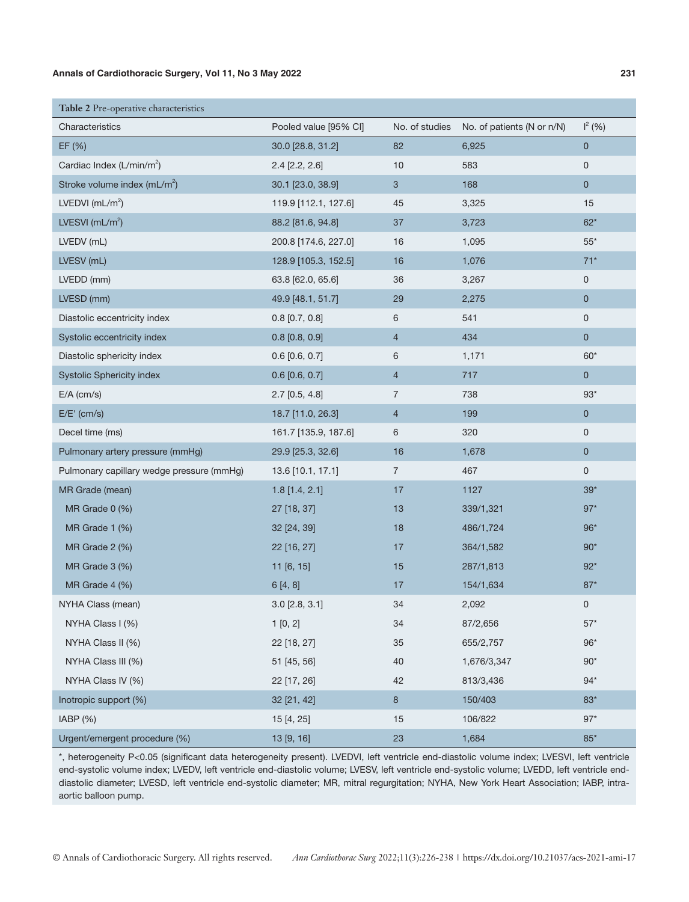| Table 2 Pre-operative characteristics     |                         |                |                                           |                |
|-------------------------------------------|-------------------------|----------------|-------------------------------------------|----------------|
| Characteristics                           | Pooled value [95% CI]   |                | No. of studies No. of patients (N or n/N) | $I^2(96)$      |
| EF (%)                                    | 30.0 [28.8, 31.2]       | 82             | 6,925                                     | $\overline{0}$ |
| Cardiac Index (L/min/m <sup>2</sup> )     | $2.4$ [ $2.2$ , $2.6$ ] | 10             | 583                                       | $\mathsf 0$    |
| Stroke volume index (mL/m <sup>2</sup> )  | 30.1 [23.0, 38.9]       | $\mathbf{3}$   | 168                                       | $\pmb{0}$      |
| LVEDVI $(mL/m^2)$                         | 119.9 [112.1, 127.6]    | 45             | 3,325                                     | 15             |
| LVESVI $(mL/m^2)$                         | 88.2 [81.6, 94.8]       | 37             | 3,723                                     | $62*$          |
| LVEDV (mL)                                | 200.8 [174.6, 227.0]    | 16             | 1,095                                     | $55^*$         |
| LVESV (mL)                                | 128.9 [105.3, 152.5]    | 16             | 1,076                                     | $71*$          |
| LVEDD (mm)                                | 63.8 [62.0, 65.6]       | 36             | 3,267                                     | $\mathsf 0$    |
| LVESD (mm)                                | 49.9 [48.1, 51.7]       | 29             | 2,275                                     | $\mathbf 0$    |
| Diastolic eccentricity index              | $0.8$ [0.7, 0.8]        | 6              | 541                                       | $\mathbf 0$    |
| Systolic eccentricity index               | $0.8$ [0.8, 0.9]        | $\overline{4}$ | 434                                       | $\pmb{0}$      |
| Diastolic sphericity index                | $0.6$ [0.6, 0.7]        | 6              | 1,171                                     | $60*$          |
| <b>Systolic Sphericity index</b>          | $0.6$ [0.6, 0.7]        | $\overline{4}$ | 717                                       | $\overline{0}$ |
| $E/A$ (cm/s)                              | $2.7$ [0.5, 4.8]        | $\overline{7}$ | 738                                       | $93*$          |
| $E/E'$ (cm/s)                             | 18.7 [11.0, 26.3]       | $\overline{4}$ | 199                                       | $\mathbf 0$    |
| Decel time (ms)                           | 161.7 [135.9, 187.6]    | 6              | 320                                       | $\mathsf 0$    |
| Pulmonary artery pressure (mmHg)          | 29.9 [25.3, 32.6]       | 16             | 1,678                                     | $\mathbf 0$    |
| Pulmonary capillary wedge pressure (mmHg) | 13.6 [10.1, 17.1]       | $\overline{7}$ | 467                                       | $\mathsf 0$    |
| MR Grade (mean)                           | $1.8$ [1.4, 2.1]        | 17             | 1127                                      | $39*$          |
| MR Grade $0$ $(\%)$                       | 27 [18, 37]             | 13             | 339/1,321                                 | $97*$          |
| MR Grade 1 (%)                            | 32 [24, 39]             | 18             | 486/1,724                                 | $96*$          |
| MR Grade 2 (%)                            | 22 [16, 27]             | 17             | 364/1,582                                 | $90*$          |
| MR Grade 3 (%)                            | 11 [6, 15]              | 15             | 287/1,813                                 | $92*$          |
| MR Grade 4 (%)                            | 6[4, 8]                 | 17             | 154/1,634                                 | $87*$          |
| NYHA Class (mean)                         | $3.0$ [2.8, 3.1]        | 34             | 2,092                                     | $\mathsf 0$    |
| NYHA Class I (%)                          | 1[0, 2]                 | 34             | 87/2,656                                  | $57*$          |
| NYHA Class II (%)                         | 22 [18, 27]             | 35             | 655/2,757                                 | $96*$          |
| NYHA Class III (%)                        | 51 [45, 56]             | 40             | 1,676/3,347                               | $90*$          |
| NYHA Class IV (%)                         | 22 [17, 26]             | 42             | 813/3,436                                 | $94*$          |
| Inotropic support (%)                     | 32 [21, 42]             | $\bf 8$        | 150/403                                   | $83*$          |
| IABP(%)                                   | 15 [4, 25]              | 15             | 106/822                                   | $97*$          |
| Urgent/emergent procedure (%)             | 13 [9, 16]              | 23             | 1,684                                     | $85*$          |

\*, heterogeneity P<0.05 (significant data heterogeneity present). LVEDVI, left ventricle end-diastolic volume index; LVESVI, left ventricle end-systolic volume index; LVEDV, left ventricle end-diastolic volume; LVESV, left ventricle end-systolic volume; LVEDD, left ventricle enddiastolic diameter; LVESD, left ventricle end-systolic diameter; MR, mitral regurgitation; NYHA, New York Heart Association; IABP, intraaortic balloon pump.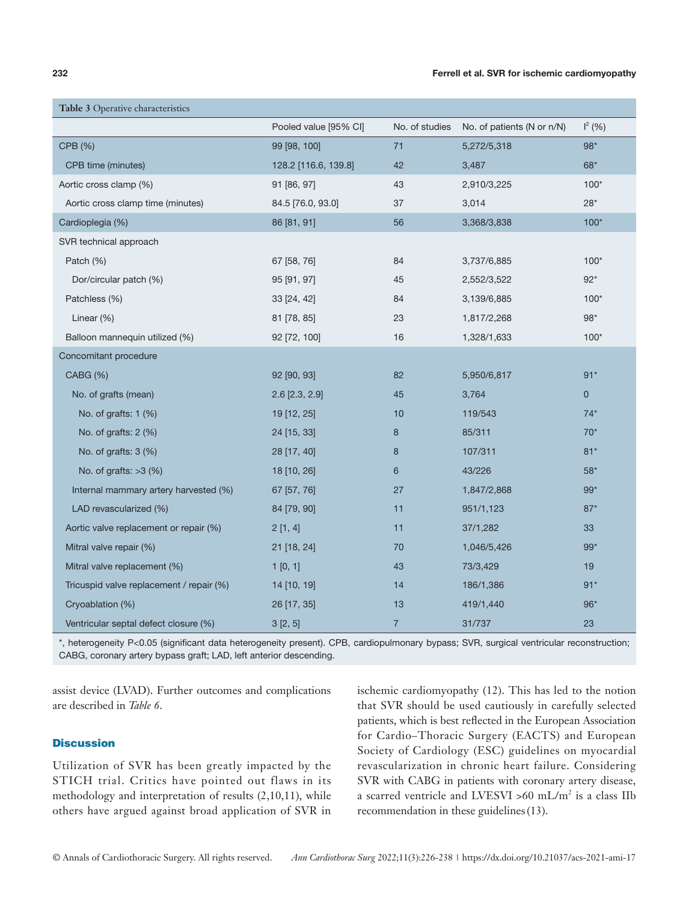| <b>Table 3</b> Operative characteristics |                         |                |                            |              |
|------------------------------------------|-------------------------|----------------|----------------------------|--------------|
|                                          | Pooled value [95% CI]   | No. of studies | No. of patients (N or n/N) | $I^2(96)$    |
| CPB (%)                                  | 99 [98, 100]            | 71             | 5,272/5,318                | $98*$        |
| CPB time (minutes)                       | 128.2 [116.6, 139.8]    | 42             | 3,487                      | $68*$        |
| Aortic cross clamp (%)                   | 91 [86, 97]             | 43             | 2,910/3,225                | $100*$       |
| Aortic cross clamp time (minutes)        | 84.5 [76.0, 93.0]       | 37             | 3,014                      | $28*$        |
| Cardioplegia (%)                         | 86 [81, 91]             | 56             | 3,368/3,838                | $100*$       |
| SVR technical approach                   |                         |                |                            |              |
| Patch (%)                                | 67 [58, 76]             | 84             | 3,737/6,885                | $100*$       |
| Dor/circular patch (%)                   | 95 [91, 97]             | 45             | 2,552/3,522                | $92^*$       |
| Patchless (%)                            | 33 [24, 42]             | 84             | 3,139/6,885                | $100*$       |
| Linear (%)                               | 81 [78, 85]             | 23             | 1,817/2,268                | $98*$        |
| Balloon mannequin utilized (%)           | 92 [72, 100]            | 16             | 1,328/1,633                | $100*$       |
| Concomitant procedure                    |                         |                |                            |              |
| <b>CABG (%)</b>                          | 92 [90, 93]             | 82             | 5,950/6,817                | $91*$        |
| No. of grafts (mean)                     | $2.6$ [ $2.3$ , $2.9$ ] | 45             | 3,764                      | $\mathbf{0}$ |
| No. of grafts: 1 (%)                     | 19 [12, 25]             | 10             | 119/543                    | $74*$        |
| No. of grafts: $2$ (%)                   | 24 [15, 33]             | 8              | 85/311                     | $70*$        |
| No. of grafts: 3 (%)                     | 28 [17, 40]             | 8              | 107/311                    | $81*$        |
| No. of grafts: $>3$ (%)                  | 18 [10, 26]             | 6              | 43/226                     | $58*$        |
| Internal mammary artery harvested (%)    | 67 [57, 76]             | 27             | 1,847/2,868                | $99*$        |
| LAD revascularized (%)                   | 84 [79, 90]             | 11             | 951/1,123                  | $87*$        |
| Aortic valve replacement or repair (%)   | 2[1, 4]                 | 11             | 37/1,282                   | 33           |
| Mitral valve repair (%)                  | 21 [18, 24]             | 70             | 1,046/5,426                | $99*$        |
| Mitral valve replacement (%)             | 1[0, 1]                 | 43             | 73/3,429                   | 19           |
| Tricuspid valve replacement / repair (%) | 14 [10, 19]             | 14             | 186/1,386                  | $91*$        |
| Cryoablation (%)                         | 26 [17, 35]             | 13             | 419/1,440                  | $96*$        |
| Ventricular septal defect closure (%)    | 3[2, 5]                 | $\overline{7}$ | 31/737                     | 23           |

\*, heterogeneity P<0.05 (significant data heterogeneity present). CPB, cardiopulmonary bypass; SVR, surgical ventricular reconstruction; CABG, coronary artery bypass graft; LAD, left anterior descending.

assist device (LVAD). Further outcomes and complications are described in *Table 6*.

# **Discussion**

Utilization of SVR has been greatly impacted by the STICH trial. Critics have pointed out flaws in its methodology and interpretation of results (2,10,11), while others have argued against broad application of SVR in

ischemic cardiomyopathy (12). This has led to the notion that SVR should be used cautiously in carefully selected patients, which is best reflected in the European Association for Cardio–Thoracic Surgery (EACTS) and European Society of Cardiology (ESC) guidelines on myocardial revascularization in chronic heart failure. Considering SVR with CABG in patients with coronary artery disease, a scarred ventricle and LVESVI >60 mL/m<sup>2</sup> is a class IIb recommendation in these guidelines(13).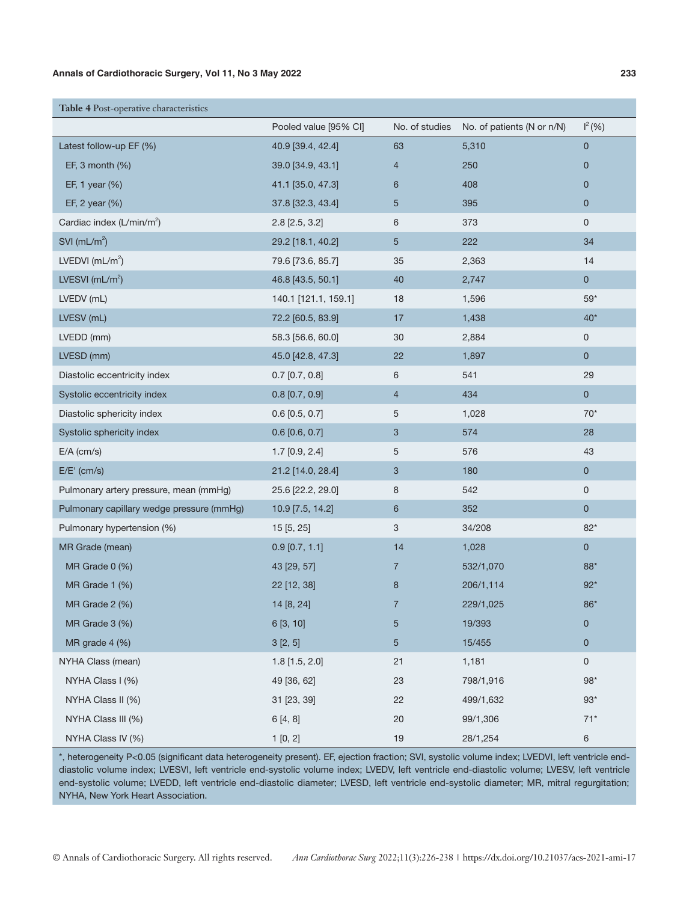| Table 4 Post-operative characteristics    |                         |                |                            |                     |
|-------------------------------------------|-------------------------|----------------|----------------------------|---------------------|
|                                           | Pooled value [95% CI]   | No. of studies | No. of patients (N or n/N) | $I^2(% )$           |
| Latest follow-up EF (%)                   | 40.9 [39.4, 42.4]       | 63             | 5,310                      | $\mathbf 0$         |
| EF, $3$ month $(\%)$                      | 39.0 [34.9, 43.1]       | 4              | 250                        | $\mathbf 0$         |
| EF, 1 year (%)                            | 41.1 [35.0, 47.3]       | 6              | 408                        | $\mathbf 0$         |
| EF, 2 year (%)                            | 37.8 [32.3, 43.4]       | 5              | 395                        | $\mathbf 0$         |
| Cardiac index (L/min/m <sup>2</sup> )     | $2.8$ [ $2.5$ , $3.2$ ] | 6              | 373                        | $\mathsf{O}$        |
| SVI ( $mL/m^2$ )                          | 29.2 [18.1, 40.2]       | 5              | 222                        | 34                  |
| LVEDVI $(mL/m^2)$                         | 79.6 [73.6, 85.7]       | 35             | 2,363                      | 14                  |
| LVESVI $(mL/m^2)$                         | 46.8 [43.5, 50.1]       | 40             | 2,747                      | $\overline{0}$      |
| LVEDV (mL)                                | 140.1 [121.1, 159.1]    | 18             | 1,596                      | $59*$               |
| LVESV (mL)                                | 72.2 [60.5, 83.9]       | 17             | 1,438                      | $40*$               |
| LVEDD (mm)                                | 58.3 [56.6, 60.0]       | 30             | 2,884                      | 0                   |
| LVESD (mm)                                | 45.0 [42.8, 47.3]       | 22             | 1,897                      | $\mathbf 0$         |
| Diastolic eccentricity index              | $0.7$ [0.7, 0.8]        | 6              | 541                        | 29                  |
| Systolic eccentricity index               | $0.8$ [0.7, 0.9]        | $\overline{4}$ | 434                        | $\mathsf{O}\xspace$ |
| Diastolic sphericity index                | $0.6$ [0.5, 0.7]        | 5              | 1,028                      | $70*$               |
| Systolic sphericity index                 | $0.6$ [0.6, 0.7]        | 3              | 574                        | 28                  |
| $E/A$ (cm/s)                              | $1.7$ [0.9, 2.4]        | 5              | 576                        | 43                  |
| $E/E'$ (cm/s)                             | 21.2 [14.0, 28.4]       | 3              | 180                        | $\mathbf 0$         |
| Pulmonary artery pressure, mean (mmHg)    | 25.6 [22.2, 29.0]       | 8              | 542                        | 0                   |
| Pulmonary capillary wedge pressure (mmHg) | 10.9 [7.5, 14.2]        | $6\phantom{1}$ | 352                        | $\mathbf 0$         |
| Pulmonary hypertension (%)                | 15 [5, 25]              | 3              | 34/208                     | $82*$               |
| MR Grade (mean)                           | $0.9$ [0.7, 1.1]        | 14             | 1,028                      | $\mathbf 0$         |
| MR Grade 0 (%)                            | 43 [29, 57]             | 7              | 532/1,070                  | $88*$               |
| MR Grade 1 (%)                            | 22 [12, 38]             | $\bf 8$        | 206/1,114                  | $92*$               |
| MR Grade 2 (%)                            | 14 [8, 24]              | 7              | 229/1,025                  | $86*$               |
| MR Grade 3 (%)                            | 6 [3, 10]               | 5              | 19/393                     | $\pmb{0}$           |
| MR grade 4 (%)                            | 3[2, 5]                 | 5              | 15/455                     | $\mathbf 0$         |
| NYHA Class (mean)                         | $1.8$ [1.5, 2.0]        | 21             | 1,181                      | $\mathsf{O}\xspace$ |
| NYHA Class I (%)                          | 49 [36, 62]             | 23             | 798/1,916                  | $98*$               |
| NYHA Class II (%)                         | 31 [23, 39]             | 22             | 499/1,632                  | $93*$               |
| NYHA Class III (%)                        | 6[4, 8]                 | 20             | 99/1,306                   | $71*$               |
| NYHA Class IV (%)                         | 1[0, 2]                 | 19             | 28/1,254                   | 6                   |

\*, heterogeneity P<0.05 (significant data heterogeneity present). EF, ejection fraction; SVI, systolic volume index; LVEDVI, left ventricle enddiastolic volume index; LVESVI, left ventricle end-systolic volume index; LVEDV, left ventricle end-diastolic volume; LVESV, left ventricle end-systolic volume; LVEDD, left ventricle end-diastolic diameter; LVESD, left ventricle end-systolic diameter; MR, mitral regurgitation; NYHA, New York Heart Association.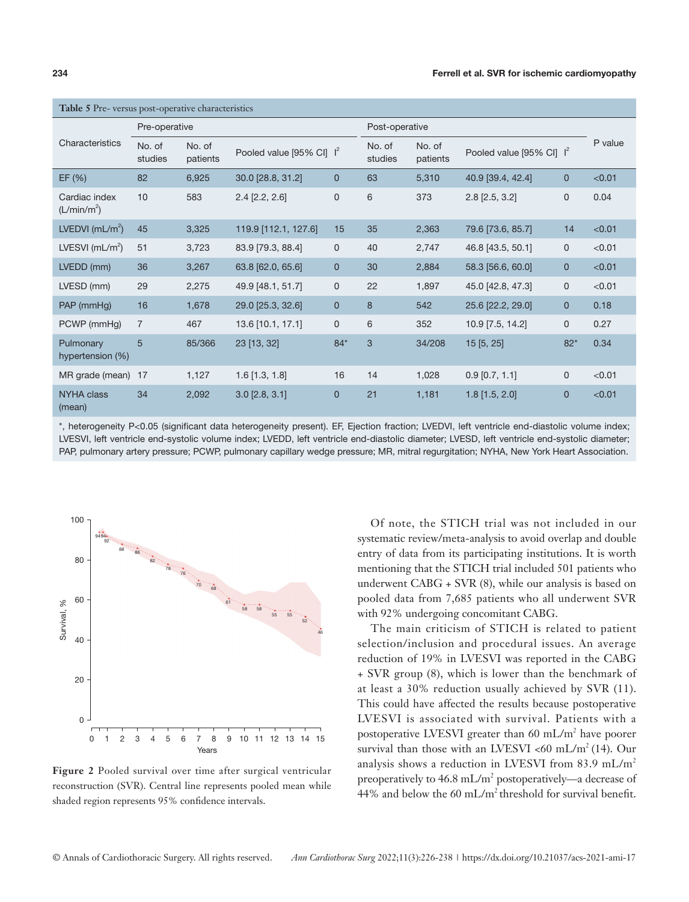| <b>Table 5</b> Pre- versus post-operative characteristics |                   |                    |                             |                |                   |                    |                             |                |         |  |
|-----------------------------------------------------------|-------------------|--------------------|-----------------------------|----------------|-------------------|--------------------|-----------------------------|----------------|---------|--|
|                                                           | Pre-operative     |                    |                             |                | Post-operative    |                    |                             |                |         |  |
| Characteristics                                           | No. of<br>studies | No. of<br>patients | Pooled value [95% CI] $I^2$ |                | No. of<br>studies | No. of<br>patients | Pooled value [95% CI] $I^2$ |                | P value |  |
| EF(%)                                                     | 82                | 6,925              | 30.0 [28.8, 31.2]           | $\mathbf{0}$   | 63                | 5,310              | 40.9 [39.4, 42.4]           | $\overline{0}$ | < 0.01  |  |
| Cardiac index<br>(L/min/m <sup>2</sup> )                  | 10                | 583                | $2.4$ [ $2.2$ , $2.6$ ]     | 0              | 6                 | 373                | $2.8$ [ $2.5$ , $3.2$ ]     | 0              | 0.04    |  |
| LVEDVI ( $mL/m2$ )                                        | 45                | 3,325              | 119.9 [112.1, 127.6]        | 15             | 35                | 2,363              | 79.6 [73.6, 85.7]           | 14             | < 0.01  |  |
| LVESVI $(mL/m2)$                                          | 51                | 3,723              | 83.9 [79.3, 88.4]           | $\mathbf{0}$   | 40                | 2,747              | 46.8 [43.5, 50.1]           | 0              | < 0.01  |  |
| LVEDD (mm)                                                | 36                | 3,267              | 63.8 [62.0, 65.6]           | $\mathbf{0}$   | 30                | 2,884              | 58.3 [56.6, 60.0]           | $\overline{0}$ | < 0.01  |  |
| LVESD (mm)                                                | 29                | 2,275              | 49.9 [48.1, 51.7]           | $\mathbf{0}$   | 22                | 1,897              | 45.0 [42.8, 47.3]           | $\mathbf{0}$   | < 0.01  |  |
| PAP (mmHq)                                                | 16                | 1,678              | 29.0 [25.3, 32.6]           | $\mathbf{0}$   | 8                 | 542                | 25.6 [22.2, 29.0]           | 0              | 0.18    |  |
| PCWP (mmHg)                                               | $\overline{7}$    | 467                | 13.6 [10.1, 17.1]           | 0              | 6                 | 352                | 10.9 [7.5, 14.2]            | 0              | 0.27    |  |
| Pulmonary<br>hypertension (%)                             | 5                 | 85/366             | 23 [13, 32]                 | $84*$          | 3                 | 34/208             | 15 [5, 25]                  | $82*$          | 0.34    |  |
| MR grade (mean)                                           | 17                | 1,127              | $1.6$ [1.3, 1.8]            | 16             | 14                | 1,028              | $0.9$ [0.7, 1.1]            | 0              | < 0.01  |  |
| <b>NYHA class</b><br>(mean)                               | 34                | 2.092              | $3.0$ [2.8, 3.1]            | $\overline{0}$ | 21                | 1,181              | $1.8$ [1.5, 2.0]            | 0              | < 0.01  |  |

\*, heterogeneity P<0.05 (significant data heterogeneity present). EF, Ejection fraction; LVEDVI, left ventricle end-diastolic volume index; LVESVI, left ventricle end-systolic volume index; LVEDD, left ventricle end-diastolic diameter; LVESD, left ventricle end-systolic diameter; PAP, pulmonary artery pressure; PCWP, pulmonary capillary wedge pressure; MR, mitral regurgitation; NYHA, New York Heart Association.



**Figure 2** Pooled survival over time after surgical ventricular reconstruction (SVR). Central line represents pooled mean while shaded region represents 95% confidence intervals.

Of note, the STICH trial was not included in our systematic review/meta-analysis to avoid overlap and double entry of data from its participating institutions. It is worth mentioning that the STICH trial included 501 patients who underwent CABG + SVR (8), while our analysis is based on pooled data from 7,685 patients who all underwent SVR with 92% undergoing concomitant CABG.

The main criticism of STICH is related to patient selection/inclusion and procedural issues. An average reduction of 19% in LVESVI was reported in the CABG + SVR group (8), which is lower than the benchmark of at least a 30% reduction usually achieved by SVR (11). This could have affected the results because postoperative LVESVI is associated with survival. Patients with a postoperative LVESVI greater than 60 mL/m<sup>2</sup> have poorer survival than those with an LVESVI <60 mL/m<sup>2</sup> (14). Our analysis shows a reduction in LVESVI from 83.9 mL/m<sup>2</sup> preoperatively to  $46.8 \text{ mL/m}^2$  postoperatively—a decrease of 44% and below the 60 mL/m<sup>2</sup> threshold for survival benefit.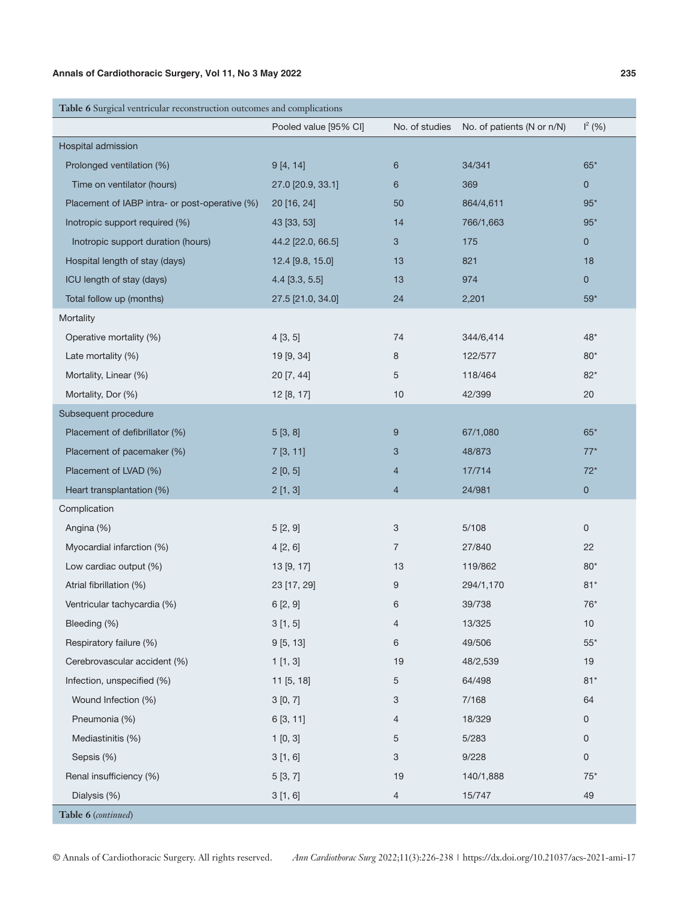| Table 6 Surgical ventricular reconstruction outcomes and complications |                       |                |                            |               |  |  |  |  |  |  |
|------------------------------------------------------------------------|-----------------------|----------------|----------------------------|---------------|--|--|--|--|--|--|
|                                                                        | Pooled value [95% CI] | No. of studies | No. of patients (N or n/N) | $\vert^{2}$ ( |  |  |  |  |  |  |
| Hospital admission                                                     |                       |                |                            |               |  |  |  |  |  |  |
| Prolonged ventilation (%)                                              | 9[4, 14]              | 6              | 34/341                     | 65'           |  |  |  |  |  |  |
| Time on ventilator (hours)                                             | 27.0 [20.9, 33.1]     | 6              | 369                        |               |  |  |  |  |  |  |
| Placement of IABP intra- or post-operative (%)                         | 20 [16, 24]           | 50             | 864/4.611                  | 95'           |  |  |  |  |  |  |

| Time on ventilator (hours)                     | 27.0 [20.9, 33.1] | 6              | 369       | $\mathbf 0$         |
|------------------------------------------------|-------------------|----------------|-----------|---------------------|
| Placement of IABP intra- or post-operative (%) | 20 [16, 24]       | 50             | 864/4,611 | $95*$               |
| Inotropic support required (%)                 | 43 [33, 53]       | 14             | 766/1,663 | $95*$               |
| Inotropic support duration (hours)             | 44.2 [22.0, 66.5] | 3              | 175       | $\mathbf{0}$        |
| Hospital length of stay (days)                 | 12.4 [9.8, 15.0]  | 13             | 821       | 18                  |
| ICU length of stay (days)                      | $4.4$ [3.3, 5.5]  | 13             | 974       | $\mathbf 0$         |
| Total follow up (months)                       | 27.5 [21.0, 34.0] | 24             | 2,201     | $59*$               |
| Mortality                                      |                   |                |           |                     |
| Operative mortality (%)                        | 4[3, 5]           | 74             | 344/6,414 | $48*$               |
| Late mortality (%)                             | 19 [9, 34]        | 8              | 122/577   | $80*$               |
| Mortality, Linear (%)                          | 20 [7, 44]        | 5              | 118/464   | $82*$               |
| Mortality, Dor (%)                             | 12 [8, 17]        | 10             | 42/399    | 20                  |
| Subsequent procedure                           |                   |                |           |                     |
| Placement of defibrillator (%)                 | 5[3, 8]           | 9              | 67/1,080  | $65*$               |
| Placement of pacemaker (%)                     | 7[3, 11]          | 3              | 48/873    | $77*$               |
| Placement of LVAD (%)                          | 2[0, 5]           | 4              | 17/714    | $72*$               |
| Heart transplantation (%)                      | 2[1, 3]           | $\overline{4}$ | 24/981    | $\mathbf{0}$        |
| Complication                                   |                   |                |           |                     |
| Angina (%)                                     | 5[2, 9]           | 3              | 5/108     | $\mathsf{O}\xspace$ |
| Myocardial infarction (%)                      | 4[2, 6]           | $\overline{7}$ | 27/840    | 22                  |
| Low cardiac output (%)                         | 13 [9, 17]        | 13             | 119/862   | $80*$               |
| Atrial fibrillation (%)                        | 23 [17, 29]       | 9              | 294/1,170 | $81*$               |
| Ventricular tachycardia (%)                    | 6[2, 9]           | 6              | 39/738    | $76*$               |
| Bleeding (%)                                   | 3[1, 5]           | 4              | 13/325    | 10                  |
| Respiratory failure (%)                        | 9[5, 13]          | 6              | 49/506    | $55*$               |
| Cerebrovascular accident (%)                   | 1[1,3]            | 19             | 48/2,539  | 19                  |
| Infection, unspecified (%)                     | 11 [5, 18]        | 5              | 64/498    | $81*$               |
| Wound Infection (%)                            | 3[0, 7]           | 3              | 7/168     | 64                  |
| Pneumonia (%)                                  | 6 [3, 11]         | 4              | 18/329    | 0                   |
| Mediastinitis (%)                              | 1[0, 3]           | 5              | 5/283     | 0                   |
| Sepsis (%)                                     | 3[1, 6]           | 3              | 9/228     | $\mathsf{O}\xspace$ |
| Renal insufficiency (%)                        | 5[3, 7]           | 19             | 140/1,888 | $75*$               |
| Dialysis (%)                                   | 3[1, 6]           | $\overline{4}$ | 15/747    | 49                  |
| Table 6 (continued)                            |                   |                |           |                     |

 $l^2$  (%)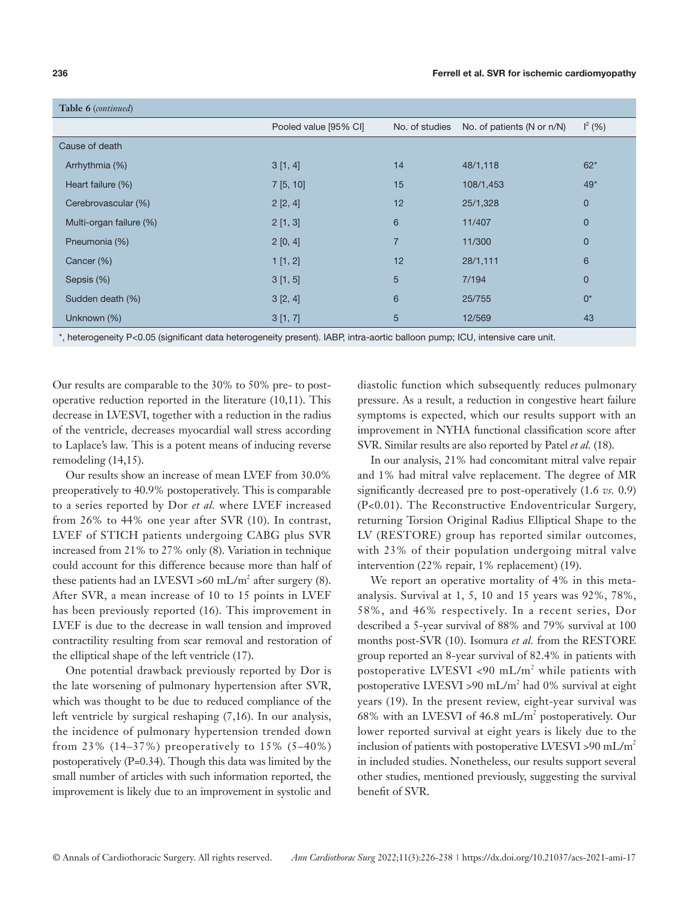| Table 6 (continued)     |                       |                |                            |             |
|-------------------------|-----------------------|----------------|----------------------------|-------------|
|                         | Pooled value [95% CI] | No. of studies | No. of patients (N or n/N) | $I^2(96)$   |
| Cause of death          |                       |                |                            |             |
| Arrhythmia (%)          | 3[1, 4]               | 14             | 48/1,118                   | $62*$       |
| Heart failure (%)       | 7[5, 10]              | 15             | 108/1,453                  | $49*$       |
| Cerebrovascular (%)     | 2[2, 4]               | 12             | 25/1,328                   | $\mathbf 0$ |
| Multi-organ failure (%) | 2[1, 3]               | 6              | 11/407                     | $\mathbf 0$ |
| Pneumonia (%)           | 2[0, 4]               | $\overline{7}$ | 11/300                     | $\mathbf 0$ |
| Cancer (%)              | 1[1, 2]               | 12             | 28/1,111                   | 6           |
| Sepsis (%)              | 3[1, 5]               | 5              | 7/194                      | $\mathbf 0$ |
| Sudden death (%)        | 3 [2, 4]              | 6              | 25/755                     | $0^*$       |
| Unknown (%)             | 3[1, 7]               | 5              | 12/569                     | 43          |

\*, heterogeneity P<0.05 (significant data heterogeneity present). IABP, intra-aortic balloon pump; ICU, intensive care unit.

Our results are comparable to the 30% to 50% pre- to postoperative reduction reported in the literature (10,11). This decrease in LVESVI, together with a reduction in the radius of the ventricle, decreases myocardial wall stress according to Laplace's law. This is a potent means of inducing reverse remodeling (14,15).

Our results show an increase of mean LVEF from 30.0% preoperatively to 40.9% postoperatively. This is comparable to a series reported by Dor *et al.* where LVEF increased from 26% to 44% one year after SVR (10). In contrast, LVEF of STICH patients undergoing CABG plus SVR increased from 21% to 27% only (8). Variation in technique could account for this difference because more than half of these patients had an LVESVI >60 mL/m<sup>2</sup> after surgery (8). After SVR, a mean increase of 10 to 15 points in LVEF has been previously reported (16). This improvement in LVEF is due to the decrease in wall tension and improved contractility resulting from scar removal and restoration of the elliptical shape of the left ventricle (17).

One potential drawback previously reported by Dor is the late worsening of pulmonary hypertension after SVR, which was thought to be due to reduced compliance of the left ventricle by surgical reshaping (7,16). In our analysis, the incidence of pulmonary hypertension trended down from 23% (14–37%) preoperatively to 15% (5–40%) postoperatively (P=0.34). Though this data was limited by the small number of articles with such information reported, the improvement is likely due to an improvement in systolic and

diastolic function which subsequently reduces pulmonary pressure. As a result, a reduction in congestive heart failure symptoms is expected, which our results support with an improvement in NYHA functional classification score after SVR. Similar results are also reported by Patel *et al.* (18).

In our analysis, 21% had concomitant mitral valve repair and 1% had mitral valve replacement. The degree of MR significantly decreased pre to post-operatively (1.6 *vs.* 0.9) (P<0.01). The Reconstructive Endoventricular Surgery, returning Torsion Original Radius Elliptical Shape to the LV (RESTORE) group has reported similar outcomes, with 23% of their population undergoing mitral valve intervention (22% repair, 1% replacement) (19).

We report an operative mortality of 4% in this metaanalysis. Survival at 1, 5, 10 and 15 years was 92%, 78%, 58%, and 46% respectively. In a recent series, Dor described a 5-year survival of 88% and 79% survival at 100 months post-SVR (10). Isomura *et al.* from the RESTORE group reported an 8-year survival of 82.4% in patients with postoperative LVESVI <90 mL/m<sup>2</sup> while patients with postoperative LVESVI > 90 mL/m<sup>2</sup> had 0% survival at eight years (19). In the present review, eight-year survival was 68% with an LVESVI of 46.8 mL/m2 postoperatively. Our lower reported survival at eight years is likely due to the inclusion of patients with postoperative LVESVI >90 mL/m<sup>2</sup> in included studies. Nonetheless, our results support several other studies, mentioned previously, suggesting the survival benefit of SVR.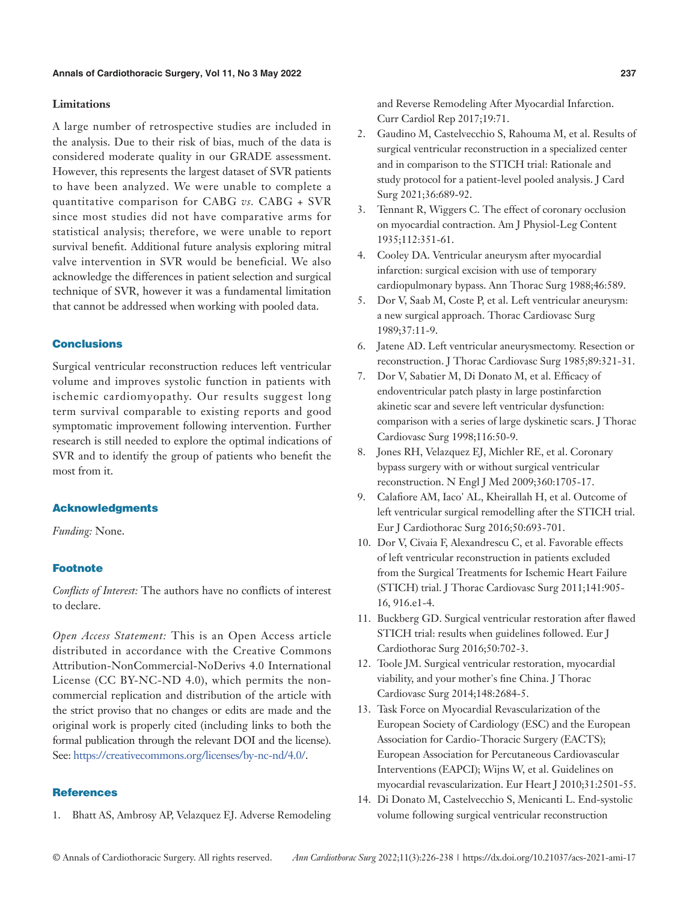#### **Limitations**

A large number of retrospective studies are included in the analysis. Due to their risk of bias, much of the data is considered moderate quality in our GRADE assessment. However, this represents the largest dataset of SVR patients to have been analyzed. We were unable to complete a quantitative comparison for CABG *vs.* CABG + SVR since most studies did not have comparative arms for statistical analysis; therefore, we were unable to report survival benefit. Additional future analysis exploring mitral valve intervention in SVR would be beneficial. We also acknowledge the differences in patient selection and surgical technique of SVR, however it was a fundamental limitation that cannot be addressed when working with pooled data.

# **Conclusions**

Surgical ventricular reconstruction reduces left ventricular volume and improves systolic function in patients with ischemic cardiomyopathy. Our results suggest long term survival comparable to existing reports and good symptomatic improvement following intervention. Further research is still needed to explore the optimal indications of SVR and to identify the group of patients who benefit the most from it.

# Acknowledgments

*Funding:* None.

#### Footnote

*Conflicts of Interest:* The authors have no conflicts of interest to declare.

*Open Access Statement:* This is an Open Access article distributed in accordance with the Creative Commons Attribution-NonCommercial-NoDerivs 4.0 International License (CC BY-NC-ND 4.0), which permits the noncommercial replication and distribution of the article with the strict proviso that no changes or edits are made and the original work is properly cited (including links to both the formal publication through the relevant DOI and the license). See: [https://creativecommons.org/licenses/by-nc-nd/4.0/.](https://creativecommons.org/licenses/by-nc-nd/4.0/)

# **References**

1. Bhatt AS, Ambrosy AP, Velazquez EJ. Adverse Remodeling

and Reverse Remodeling After Myocardial Infarction. Curr Cardiol Rep 2017;19:71.

- 2. Gaudino M, Castelvecchio S, Rahouma M, et al. Results of surgical ventricular reconstruction in a specialized center and in comparison to the STICH trial: Rationale and study protocol for a patient-level pooled analysis. J Card Surg 2021;36:689-92.
- 3. Tennant R, Wiggers C. The effect of coronary occlusion on myocardial contraction. Am J Physiol-Leg Content 1935;112:351-61.
- 4. Cooley DA. Ventricular aneurysm after myocardial infarction: surgical excision with use of temporary cardiopulmonary bypass. Ann Thorac Surg 1988;46:589.
- 5. Dor V, Saab M, Coste P, et al. Left ventricular aneurysm: a new surgical approach. Thorac Cardiovasc Surg 1989;37:11-9.
- 6. Jatene AD. Left ventricular aneurysmectomy. Resection or reconstruction. J Thorac Cardiovasc Surg 1985;89:321-31.
- 7. Dor V, Sabatier M, Di Donato M, et al. Efficacy of endoventricular patch plasty in large postinfarction akinetic scar and severe left ventricular dysfunction: comparison with a series of large dyskinetic scars. J Thorac Cardiovasc Surg 1998;116:50-9.
- 8. Jones RH, Velazquez EJ, Michler RE, et al. Coronary bypass surgery with or without surgical ventricular reconstruction. N Engl J Med 2009;360:1705-17.
- 9. Calafiore AM, Iaco' AL, Kheirallah H, et al. Outcome of left ventricular surgical remodelling after the STICH trial. Eur J Cardiothorac Surg 2016;50:693-701.
- 10. Dor V, Civaia F, Alexandrescu C, et al. Favorable effects of left ventricular reconstruction in patients excluded from the Surgical Treatments for Ischemic Heart Failure (STICH) trial. J Thorac Cardiovasc Surg 2011;141:905- 16, 916.e1-4.
- 11. Buckberg GD. Surgical ventricular restoration after flawed STICH trial: results when guidelines followed. Eur J Cardiothorac Surg 2016;50:702-3.
- 12. Toole JM. Surgical ventricular restoration, myocardial viability, and your mother's fine China. J Thorac Cardiovasc Surg 2014;148:2684-5.
- 13. Task Force on Myocardial Revascularization of the European Society of Cardiology (ESC) and the European Association for Cardio-Thoracic Surgery (EACTS); European Association for Percutaneous Cardiovascular Interventions (EAPCI); Wijns W, et al. Guidelines on myocardial revascularization. Eur Heart J 2010;31:2501-55.
- 14. Di Donato M, Castelvecchio S, Menicanti L. End-systolic volume following surgical ventricular reconstruction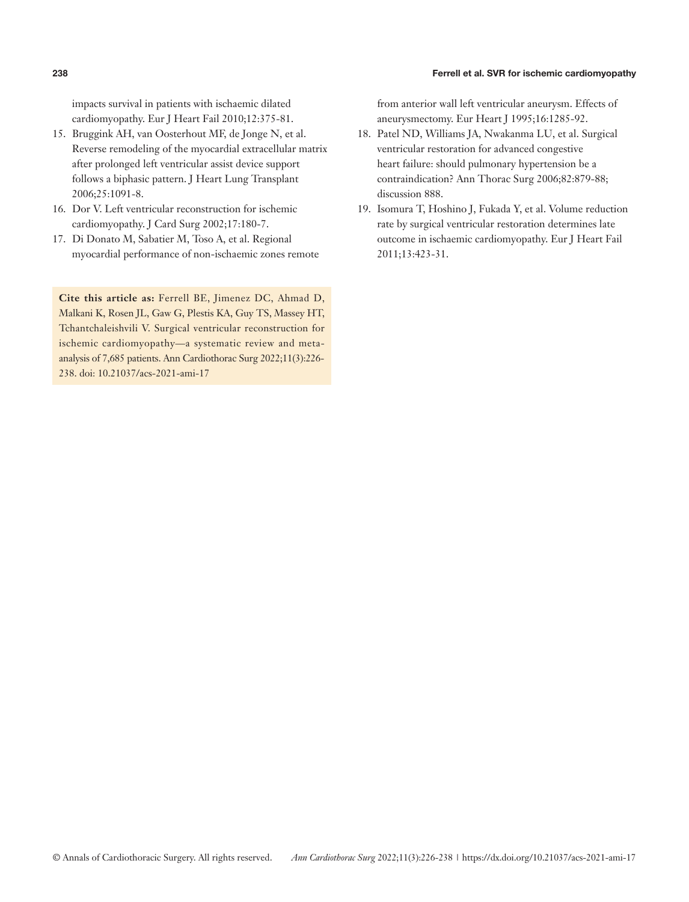# **238** Ferrell et al. SVR for ischemic cardiomyopathy

impacts survival in patients with ischaemic dilated cardiomyopathy. Eur J Heart Fail 2010;12:375-81.

- 15. Bruggink AH, van Oosterhout MF, de Jonge N, et al. Reverse remodeling of the myocardial extracellular matrix after prolonged left ventricular assist device support follows a biphasic pattern. J Heart Lung Transplant 2006;25:1091-8.
- 16. Dor V. Left ventricular reconstruction for ischemic cardiomyopathy. J Card Surg 2002;17:180-7.
- 17. Di Donato M, Sabatier M, Toso A, et al. Regional myocardial performance of non-ischaemic zones remote

**Cite this article as:** Ferrell BE, Jimenez DC, Ahmad D, Malkani K, Rosen JL, Gaw G, Plestis KA, Guy TS, Massey HT, Tchantchaleishvili V. Surgical ventricular reconstruction for ischemic cardiomyopathy—a systematic review and metaanalysis of 7,685 patients. Ann Cardiothorac Surg 2022;11(3):226- 238. doi: 10.21037/acs-2021-ami-17

from anterior wall left ventricular aneurysm. Effects of aneurysmectomy. Eur Heart J 1995;16:1285-92.

- 18. Patel ND, Williams JA, Nwakanma LU, et al. Surgical ventricular restoration for advanced congestive heart failure: should pulmonary hypertension be a contraindication? Ann Thorac Surg 2006;82:879-88; discussion 888.
- 19. Isomura T, Hoshino J, Fukada Y, et al. Volume reduction rate by surgical ventricular restoration determines late outcome in ischaemic cardiomyopathy. Eur J Heart Fail 2011;13:423-31.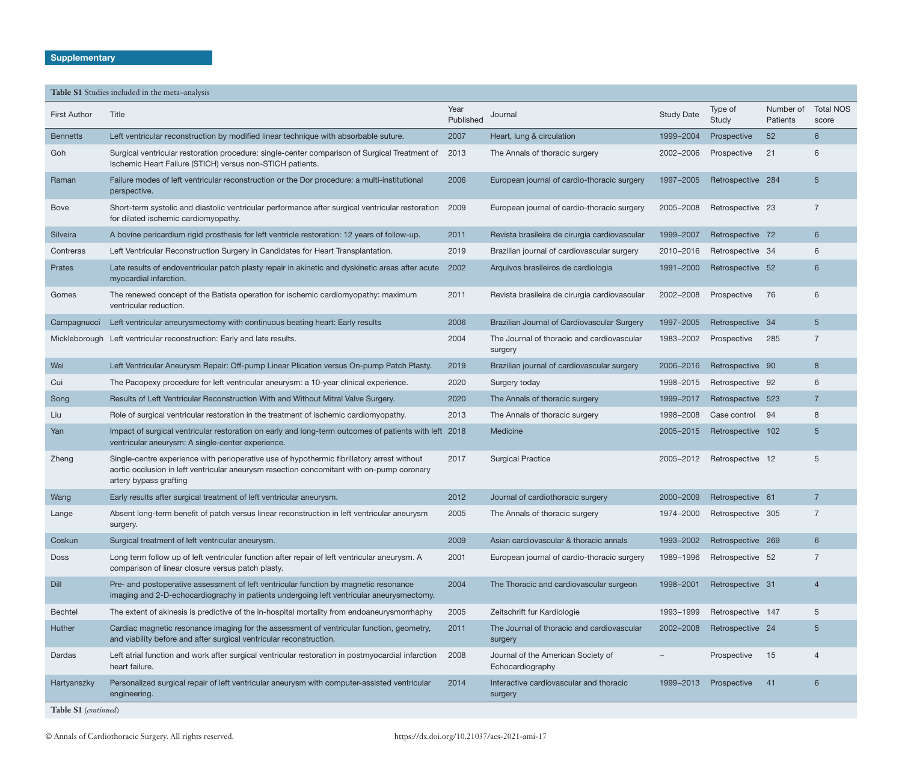|                      | Table S1 Studies included in the meta-analysis                                                                                                                                                                    |                   |                                                        |                   |                   |                       |                           |
|----------------------|-------------------------------------------------------------------------------------------------------------------------------------------------------------------------------------------------------------------|-------------------|--------------------------------------------------------|-------------------|-------------------|-----------------------|---------------------------|
| <b>First Author</b>  | Title                                                                                                                                                                                                             | Year<br>Published | Journal                                                | <b>Study Date</b> | Type of<br>Study  | Number of<br>Patients | <b>Total NOS</b><br>score |
| <b>Bennetts</b>      | Left ventricular reconstruction by modified linear technique with absorbable suture.                                                                                                                              | 2007              | Heart, lung & circulation                              | 1999-2004         | Prospective       | 52                    | 6                         |
| Goh                  | Surgical ventricular restoration procedure: single-center comparison of Surgical Treatment of<br>Ischemic Heart Failure (STICH) versus non-STICH patients.                                                        | 2013              | The Annals of thoracic surgery                         | 2002-2006         | Prospective       | 21                    | 6                         |
| Raman                | Failure modes of left ventricular reconstruction or the Dor procedure: a multi-institutional<br>perspective.                                                                                                      | 2006              | European journal of cardio-thoracic surgery            | 1997-2005         | Retrospective 284 |                       | 5                         |
| <b>Bove</b>          | Short-term systolic and diastolic ventricular performance after surgical ventricular restoration 2009<br>for dilated ischemic cardiomyopathy.                                                                     |                   | European journal of cardio-thoracic surgery            | 2005-2008         | Retrospective 23  |                       | $\overline{7}$            |
| Silveira             | A bovine pericardium rigid prosthesis for left ventricle restoration: 12 years of follow-up.                                                                                                                      | 2011              | Revista brasileira de cirurgia cardiovascular          | 1999-2007         | Retrospective 72  |                       | 6                         |
| Contreras            | Left Ventricular Reconstruction Surgery in Candidates for Heart Transplantation.                                                                                                                                  | 2019              | Brazilian journal of cardiovascular surgery            | 2010-2016         | Retrospective 34  |                       | 6                         |
| Prates               | Late results of endoventricular patch plasty repair in akinetic and dyskinetic areas after acute<br>myocardial infarction.                                                                                        | 2002              | Arquivos brasileiros de cardiologia                    | 1991-2000         | Retrospective 52  |                       | 6                         |
| Gomes                | The renewed concept of the Batista operation for ischemic cardiomyopathy: maximum<br>ventricular reduction.                                                                                                       | 2011              | Revista brasileira de cirurgia cardiovascular          | 2002-2008         | Prospective       | 76                    | 6                         |
| Campagnucci          | Left ventricular aneurysmectomy with continuous beating heart: Early results                                                                                                                                      | 2006              | Brazilian Journal of Cardiovascular Surgery            | 1997-2005         | Retrospective 34  |                       | 5                         |
|                      | Mickleborough Left ventricular reconstruction: Early and late results.                                                                                                                                            | 2004              | The Journal of thoracic and cardiovascular<br>surgery  | 1983-2002         | Prospective       | 285                   | $\overline{7}$            |
| Wei                  | Left Ventricular Aneurysm Repair: Off-pump Linear Plication versus On-pump Patch Plasty.                                                                                                                          | 2019              | Brazilian journal of cardiovascular surgery            | 2006-2016         | Retrospective 90  |                       | 8                         |
| Cui                  | The Pacopexy procedure for left ventricular aneurysm: a 10-year clinical experience.                                                                                                                              | 2020              | Surgery today                                          | 1998-2015         | Retrospective 92  |                       | 6                         |
| Song                 | Results of Left Ventricular Reconstruction With and Without Mitral Valve Surgery.                                                                                                                                 | 2020              | The Annals of thoracic surgery                         | 1999-2017         | Retrospective 523 |                       | $\overline{7}$            |
| Liu                  | Role of surgical ventricular restoration in the treatment of ischemic cardiomyopathy.                                                                                                                             | 2013              | The Annals of thoracic surgery                         | 1998-2008         | Case control      | -94                   | 8                         |
| Yan                  | Impact of surgical ventricular restoration on early and long-term outcomes of patients with left 2018<br>ventricular aneurysm: A single-center experience.                                                        |                   | Medicine                                               | 2005-2015         | Retrospective 102 |                       | 5                         |
| Zheng                | Single-centre experience with perioperative use of hypothermic fibrillatory arrest without<br>aortic occlusion in left ventricular aneurysm resection concomitant with on-pump coronary<br>artery bypass grafting | 2017              | <b>Surgical Practice</b>                               | 2005-2012         | Retrospective 12  |                       | 5                         |
| Wang                 | Early results after surgical treatment of left ventricular aneurysm.                                                                                                                                              | 2012              | Journal of cardiothoracic surgery                      | 2000-2009         | Retrospective 61  |                       | 7                         |
| Lange                | Absent long-term benefit of patch versus linear reconstruction in left ventricular aneurysm<br>surgery.                                                                                                           | 2005              | The Annals of thoracic surgery                         | 1974-2000         | Retrospective 305 |                       | $\overline{7}$            |
| Coskun               | Surgical treatment of left ventricular aneurysm.                                                                                                                                                                  | 2009              | Asian cardiovascular & thoracic annals                 | 1993-2002         | Retrospective 269 |                       | 6                         |
| <b>Doss</b>          | Long term follow up of left ventricular function after repair of left ventricular aneurysm. A<br>comparison of linear closure versus patch plasty.                                                                | 2001              | European journal of cardio-thoracic surgery            | 1989-1996         | Retrospective 52  |                       | $\overline{7}$            |
| Dill                 | Pre- and postoperative assessment of left ventricular function by magnetic resonance<br>imaging and 2-D-echocardiography in patients undergoing left ventricular aneurysmectomy.                                  | 2004              | The Thoracic and cardiovascular surgeon                | 1998-2001         | Retrospective 31  |                       | $\overline{4}$            |
| <b>Bechtel</b>       | The extent of akinesis is predictive of the in-hospital mortality from endoaneurysmorrhaphy                                                                                                                       | 2005              | Zeitschrift fur Kardiologie                            | 1993-1999         | Retrospective 147 |                       | 5                         |
| Huther               | Cardiac magnetic resonance imaging for the assessment of ventricular function, geometry,<br>and viability before and after surgical ventricular reconstruction.                                                   | 2011              | The Journal of thoracic and cardiovascular<br>surgery  | 2002-2008         | Retrospective 24  |                       | 5                         |
| Dardas               | Left atrial function and work after surgical ventricular restoration in postmyocardial infarction<br>heart failure.                                                                                               | 2008              | Journal of the American Society of<br>Echocardiography |                   | Prospective       | 15                    | $\overline{4}$            |
| Hartyanszky          | Personalized surgical repair of left ventricular aneurysm with computer-assisted ventricular<br>engineering.                                                                                                      | 2014              | Interactive cardiovascular and thoracic<br>surgery     | 1999-2013         | Prospective       | 41                    | $6\overline{6}$           |
| Table S1 (continued) |                                                                                                                                                                                                                   |                   |                                                        |                   |                   |                       |                           |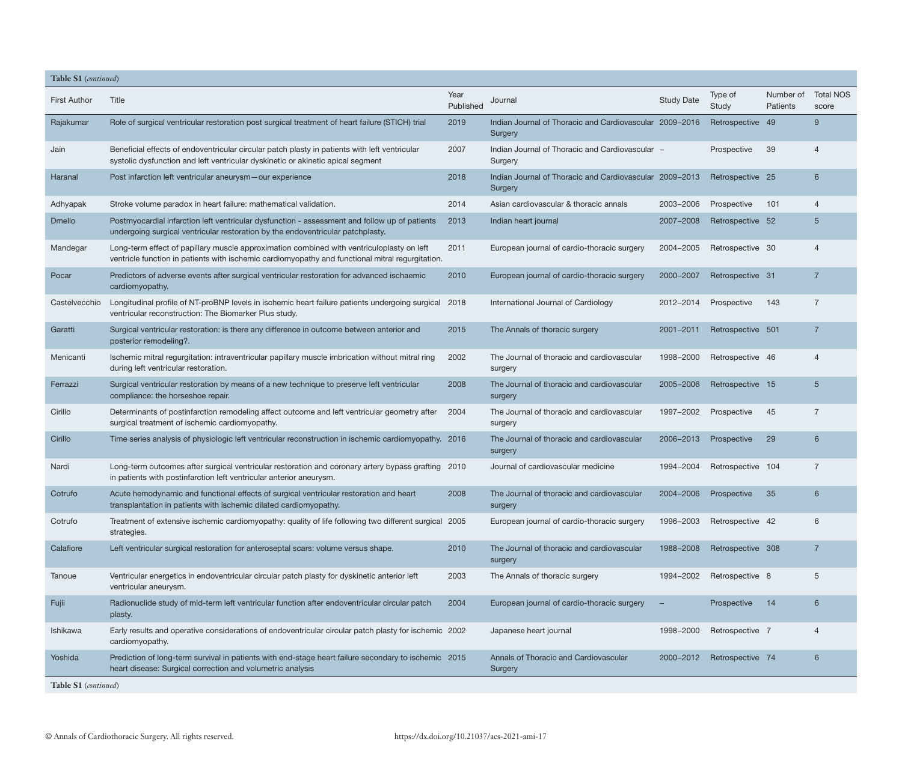| Table S1 (continued) |                                                                                                                                                                                               |                   |                                                                    |                   |                            |                       |                           |
|----------------------|-----------------------------------------------------------------------------------------------------------------------------------------------------------------------------------------------|-------------------|--------------------------------------------------------------------|-------------------|----------------------------|-----------------------|---------------------------|
| <b>First Author</b>  | Title                                                                                                                                                                                         | Year<br>Published | Journal                                                            | <b>Study Date</b> | Type of<br>Study           | Number of<br>Patients | <b>Total NOS</b><br>score |
| Rajakumar            | Role of surgical ventricular restoration post surgical treatment of heart failure (STICH) trial                                                                                               | 2019              | Indian Journal of Thoracic and Cardiovascular 2009-2016<br>Surgery |                   | Retrospective 49           |                       | 9                         |
| Jain                 | Beneficial effects of endoventricular circular patch plasty in patients with left ventricular<br>systolic dysfunction and left ventricular dyskinetic or akinetic apical segment              | 2007              | Indian Journal of Thoracic and Cardiovascular -<br>Surgery         |                   | Prospective                | 39                    | 4                         |
| Haranal              | Post infarction left ventricular aneurysm-our experience                                                                                                                                      | 2018              | Indian Journal of Thoracic and Cardiovascular 2009-2013<br>Surgery |                   | Retrospective 25           |                       | 6                         |
| Adhyapak             | Stroke volume paradox in heart failure: mathematical validation.                                                                                                                              | 2014              | Asian cardiovascular & thoracic annals                             | 2003-2006         | Prospective                | 101                   | 4                         |
| <b>Dmello</b>        | Postmyocardial infarction left ventricular dysfunction - assessment and follow up of patients<br>undergoing surgical ventricular restoration by the endoventricular patchplasty.              | 2013              | Indian heart journal                                               | 2007-2008         | Retrospective 52           |                       | 5                         |
| Mandegar             | Long-term effect of papillary muscle approximation combined with ventriculoplasty on left<br>ventricle function in patients with ischemic cardiomyopathy and functional mitral regurgitation. | 2011              | European journal of cardio-thoracic surgery                        | 2004-2005         | Retrospective 30           |                       | 4                         |
| Pocar                | Predictors of adverse events after surgical ventricular restoration for advanced ischaemic<br>cardiomyopathy.                                                                                 | 2010              | European journal of cardio-thoracic surgery                        | 2000-2007         | Retrospective 31           |                       | $\overline{7}$            |
| Castelvecchio        | Longitudinal profile of NT-proBNP levels in ischemic heart failure patients undergoing surgical 2018<br>ventricular reconstruction: The Biomarker Plus study.                                 |                   | International Journal of Cardiology                                | 2012-2014         | Prospective                | 143                   | $\overline{7}$            |
| Garatti              | Surgical ventricular restoration: is there any difference in outcome between anterior and<br>posterior remodeling?.                                                                           | 2015              | The Annals of thoracic surgery                                     | 2001-2011         | Retrospective 501          |                       | $\overline{7}$            |
| Menicanti            | Ischemic mitral regurgitation: intraventricular papillary muscle imbrication without mitral ring<br>during left ventricular restoration.                                                      | 2002              | The Journal of thoracic and cardiovascular<br>surgery              | 1998-2000         | Retrospective 46           |                       | 4                         |
| Ferrazzi             | Surgical ventricular restoration by means of a new technique to preserve left ventricular<br>compliance: the horseshoe repair.                                                                | 2008              | The Journal of thoracic and cardiovascular<br>surgery              | 2005-2006         | Retrospective 15           |                       | 5                         |
| Cirillo              | Determinants of postinfarction remodeling affect outcome and left ventricular geometry after<br>surgical treatment of ischemic cardiomyopathy.                                                | 2004              | The Journal of thoracic and cardiovascular<br>surgery              | 1997-2002         | Prospective                | 45                    | $\overline{7}$            |
| Cirillo              | Time series analysis of physiologic left ventricular reconstruction in ischemic cardiomyopathy. 2016                                                                                          |                   | The Journal of thoracic and cardiovascular<br>surgery              | 2006-2013         | Prospective                | 29                    | 6                         |
| Nardi                | Long-term outcomes after surgical ventricular restoration and coronary artery bypass grafting 2010<br>in patients with postinfarction left ventricular anterior aneurysm.                     |                   | Journal of cardiovascular medicine                                 | 1994-2004         | Retrospective 104          |                       | $\overline{7}$            |
| Cotrufo              | Acute hemodynamic and functional effects of surgical ventricular restoration and heart<br>transplantation in patients with ischemic dilated cardiomyopathy.                                   | 2008              | The Journal of thoracic and cardiovascular<br>surgery              | 2004-2006         | Prospective                | 35                    | 6                         |
| Cotrufo              | Treatment of extensive ischemic cardiomyopathy: quality of life following two different surgical 2005<br>strategies.                                                                          |                   | European journal of cardio-thoracic surgery                        |                   | 1996-2003 Retrospective 42 |                       | 6                         |
| Calafiore            | Left ventricular surgical restoration for anteroseptal scars: volume versus shape.                                                                                                            | 2010              | The Journal of thoracic and cardiovascular<br>surgery              | 1988-2008         | Retrospective 308          |                       | $\overline{7}$            |
| Tanoue               | Ventricular energetics in endoventricular circular patch plasty for dyskinetic anterior left<br>ventricular aneurysm.                                                                         | 2003              | The Annals of thoracic surgery                                     | 1994-2002         | Retrospective 8            |                       | 5                         |
| Fujii                | Radionuclide study of mid-term left ventricular function after endoventricular circular patch<br>plasty.                                                                                      | 2004              | European journal of cardio-thoracic surgery                        |                   | Prospective                | 14                    | 6                         |
| Ishikawa             | Early results and operative considerations of endoventricular circular patch plasty for ischemic 2002<br>cardiomyopathy.                                                                      |                   | Japanese heart journal                                             | 1998-2000         | Retrospective 7            |                       | $\overline{4}$            |
| Yoshida              | Prediction of long-term survival in patients with end-stage heart failure secondary to ischemic 2015<br>heart disease: Surgical correction and volumetric analysis                            |                   | Annals of Thoracic and Cardiovascular<br>Surgery                   | 2000-2012         | Retrospective 74           |                       | 6                         |
| Table S1 (continued) |                                                                                                                                                                                               |                   |                                                                    |                   |                            |                       |                           |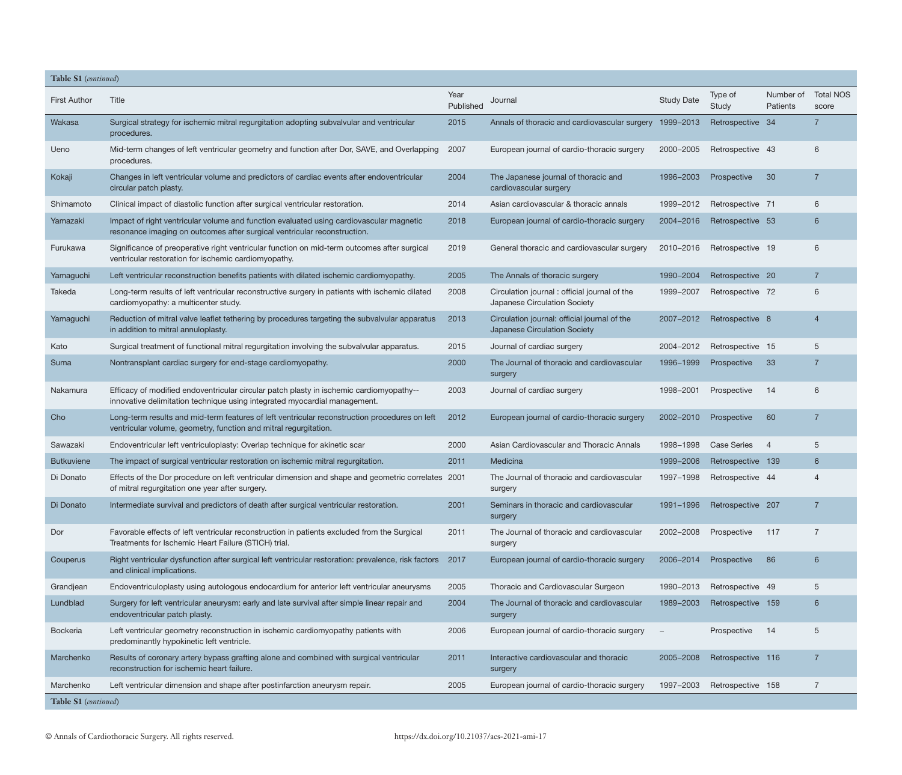| Table S1 (continued) |                                                                                                                                                                      |                   |                                                                              |                          |                    |                       |                           |
|----------------------|----------------------------------------------------------------------------------------------------------------------------------------------------------------------|-------------------|------------------------------------------------------------------------------|--------------------------|--------------------|-----------------------|---------------------------|
| <b>First Author</b>  | Title                                                                                                                                                                | Year<br>Published | Journal                                                                      | <b>Study Date</b>        | Type of<br>Study   | Number of<br>Patients | <b>Total NOS</b><br>score |
| Wakasa               | Surgical strategy for ischemic mitral regurgitation adopting subvalvular and ventricular<br>procedures.                                                              | 2015              | Annals of thoracic and cardiovascular surgery                                | 1999-2013                | Retrospective 34   |                       | $\overline{7}$            |
| Ueno                 | Mid-term changes of left ventricular geometry and function after Dor, SAVE, and Overlapping<br>procedures.                                                           | 2007              | European journal of cardio-thoracic surgery                                  | 2000-2005                | Retrospective 43   |                       | 6                         |
| Kokaji               | Changes in left ventricular volume and predictors of cardiac events after endoventricular<br>circular patch plasty.                                                  | 2004              | The Japanese journal of thoracic and<br>cardiovascular surgery               | 1996-2003                | Prospective        | 30                    | $\overline{7}$            |
| Shimamoto            | Clinical impact of diastolic function after surgical ventricular restoration.                                                                                        | 2014              | Asian cardiovascular & thoracic annals                                       | 1999-2012                | Retrospective 71   |                       | 6                         |
| Yamazaki             | Impact of right ventricular volume and function evaluated using cardiovascular magnetic<br>resonance imaging on outcomes after surgical ventricular reconstruction.  | 2018              | European journal of cardio-thoracic surgery                                  | 2004-2016                | Retrospective 53   |                       | 6                         |
| Furukawa             | Significance of preoperative right ventricular function on mid-term outcomes after surgical<br>ventricular restoration for ischemic cardiomyopathy.                  | 2019              | General thoracic and cardiovascular surgery                                  | 2010-2016                | Retrospective 19   |                       | 6                         |
| Yamaguchi            | Left ventricular reconstruction benefits patients with dilated ischemic cardiomyopathy.                                                                              | 2005              | The Annals of thoracic surgery                                               | 1990-2004                | Retrospective 20   |                       | $\overline{7}$            |
| Takeda               | Long-term results of left ventricular reconstructive surgery in patients with ischemic dilated<br>cardiomyopathy: a multicenter study.                               | 2008              | Circulation journal: official journal of the<br>Japanese Circulation Society | 1999-2007                | Retrospective 72   |                       | 6                         |
| Yamaguchi            | Reduction of mitral valve leaflet tethering by procedures targeting the subvalvular apparatus<br>in addition to mitral annuloplasty.                                 | 2013              | Circulation journal: official journal of the<br>Japanese Circulation Society | 2007-2012                | Retrospective 8    |                       | 4                         |
| Kato                 | Surgical treatment of functional mitral regurgitation involving the subvalvular apparatus.                                                                           | 2015              | Journal of cardiac surgery                                                   | 2004-2012                | Retrospective 15   |                       | 5                         |
| Suma                 | Nontransplant cardiac surgery for end-stage cardiomyopathy.                                                                                                          | 2000              | The Journal of thoracic and cardiovascular<br>surgery                        | 1996-1999                | Prospective        | 33                    | $\overline{7}$            |
| Nakamura             | Efficacy of modified endoventricular circular patch plasty in ischemic cardiomyopathy--<br>innovative delimitation technique using integrated myocardial management. | 2003              | Journal of cardiac surgery                                                   | 1998-2001                | Prospective        | 14                    | 6                         |
| Cho                  | Long-term results and mid-term features of left ventricular reconstruction procedures on left<br>ventricular volume, geometry, function and mitral regurgitation.    | 2012              | European journal of cardio-thoracic surgery                                  | 2002-2010                | Prospective        | 60                    | $\overline{7}$            |
| Sawazaki             | Endoventricular left ventriculoplasty: Overlap technique for akinetic scar                                                                                           | 2000              | Asian Cardiovascular and Thoracic Annals                                     | 1998-1998                | <b>Case Series</b> | $\overline{4}$        | 5                         |
| <b>Butkuviene</b>    | The impact of surgical ventricular restoration on ischemic mitral regurgitation.                                                                                     | 2011              | Medicina                                                                     | 1999-2006                | Retrospective 139  |                       | 6                         |
| Di Donato            | Effects of the Dor procedure on left ventricular dimension and shape and geometric correlates 2001<br>of mitral regurgitation one year after surgery.                |                   | The Journal of thoracic and cardiovascular<br>surgery                        | 1997-1998                | Retrospective 44   |                       |                           |
| Di Donato            | Intermediate survival and predictors of death after surgical ventricular restoration.                                                                                | 2001              | Seminars in thoracic and cardiovascular<br>surgery                           | 1991-1996                | Retrospective 207  |                       | 7                         |
| Dor                  | Favorable effects of left ventricular reconstruction in patients excluded from the Surgical<br>Treatments for Ischemic Heart Failure (STICH) trial.                  | 2011              | The Journal of thoracic and cardiovascular<br>surgery                        | 2002-2008                | Prospective        | -117                  | $\overline{7}$            |
| Couperus             | Right ventricular dysfunction after surgical left ventricular restoration: prevalence, risk factors 2017<br>and clinical implications.                               |                   | European journal of cardio-thoracic surgery                                  | 2006-2014                | Prospective        | 86                    | 6                         |
| Grandjean            | Endoventriculoplasty using autologous endocardium for anterior left ventricular aneurysms                                                                            | 2005              | Thoracic and Cardiovascular Surgeon                                          | 1990-2013                | Retrospective 49   |                       | 5                         |
| Lundblad             | Surgery for left ventricular aneurysm: early and late survival after simple linear repair and<br>endoventricular patch plasty.                                       | 2004              | The Journal of thoracic and cardiovascular<br>surgery                        | 1989-2003                | Retrospective 159  |                       | 6                         |
| <b>Bockeria</b>      | Left ventricular geometry reconstruction in ischemic cardiomyopathy patients with<br>predominantly hypokinetic left ventricle.                                       | 2006              | European journal of cardio-thoracic surgery                                  | $\overline{\phantom{m}}$ | Prospective        | -14                   | 5                         |
| Marchenko            | Results of coronary artery bypass grafting alone and combined with surgical ventricular<br>reconstruction for ischemic heart failure.                                | 2011              | Interactive cardiovascular and thoracic<br>surgery                           | 2005-2008                | Retrospective 116  |                       | $\overline{7}$            |
| Marchenko            | Left ventricular dimension and shape after postinfarction aneurysm repair.                                                                                           | 2005              | European journal of cardio-thoracic surgery                                  | 1997-2003                | Retrospective 158  |                       | $\overline{7}$            |
| Table S1 (continued) |                                                                                                                                                                      |                   |                                                                              |                          |                    |                       |                           |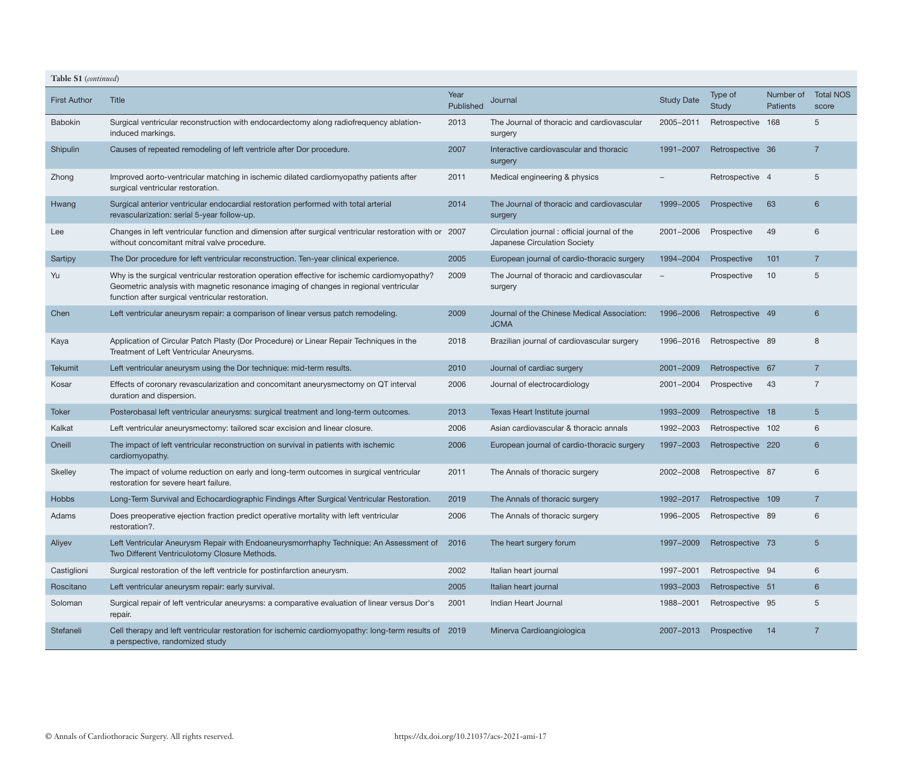| Table S1 (continued) |                                                                                                                                                                                                                                           |                   |                                                                               |                   |                   |                              |                           |
|----------------------|-------------------------------------------------------------------------------------------------------------------------------------------------------------------------------------------------------------------------------------------|-------------------|-------------------------------------------------------------------------------|-------------------|-------------------|------------------------------|---------------------------|
| <b>First Author</b>  | Title                                                                                                                                                                                                                                     | Year<br>Published | Journal                                                                       | <b>Study Date</b> | Type of<br>Study  | Number of<br><b>Patients</b> | <b>Total NOS</b><br>score |
| <b>Babokin</b>       | Surgical ventricular reconstruction with endocardectomy along radiofrequency ablation-<br>induced markings.                                                                                                                               | 2013              | The Journal of thoracic and cardiovascular<br>surgery                         | 2005-2011         | Retrospective 168 |                              | 5                         |
| Shipulin             | Causes of repeated remodeling of left ventricle after Dor procedure.                                                                                                                                                                      | 2007              | Interactive cardiovascular and thoracic<br>surgery                            | 1991-2007         | Retrospective 36  |                              | $\overline{7}$            |
| Zhong                | Improved aorto-ventricular matching in ischemic dilated cardiomyopathy patients after<br>surgical ventricular restoration.                                                                                                                | 2011              | Medical engineering & physics                                                 |                   | Retrospective 4   |                              | 5                         |
| Hwang                | Surgical anterior ventricular endocardial restoration performed with total arterial<br>revascularization: serial 5-year follow-up.                                                                                                        | 2014              | The Journal of thoracic and cardiovascular<br>surgery                         | 1999-2005         | Prospective       | 63                           | 6                         |
| Lee                  | Changes in left ventricular function and dimension after surgical ventricular restoration with or 2007<br>without concomitant mitral valve procedure.                                                                                     |                   | Circulation journal : official journal of the<br>Japanese Circulation Society | 2001-2006         | Prospective       | 49                           | 6                         |
| Sartipy              | The Dor procedure for left ventricular reconstruction. Ten-year clinical experience.                                                                                                                                                      | 2005              | European journal of cardio-thoracic surgery                                   | 1994-2004         | Prospective       | 101                          | $\overline{7}$            |
| Yu                   | Why is the surgical ventricular restoration operation effective for ischemic cardiomyopathy?<br>Geometric analysis with magnetic resonance imaging of changes in regional ventricular<br>function after surgical ventricular restoration. | 2009              | The Journal of thoracic and cardiovascular<br>surgery                         |                   | Prospective       | 10                           | 5                         |
| Chen                 | Left ventricular aneurysm repair: a comparison of linear versus patch remodeling.                                                                                                                                                         | 2009              | Journal of the Chinese Medical Association:<br><b>JCMA</b>                    | 1996-2006         | Retrospective 49  |                              | 6                         |
| Kaya                 | Application of Circular Patch Plasty (Dor Procedure) or Linear Repair Techniques in the<br>Treatment of Left Ventricular Aneurysms.                                                                                                       | 2018              | Brazilian journal of cardiovascular surgery                                   | 1996-2016         | Retrospective 89  |                              | 8                         |
| <b>Tekumit</b>       | Left ventricular aneurysm using the Dor technique: mid-term results.                                                                                                                                                                      | 2010              | Journal of cardiac surgery                                                    | 2001-2009         | Retrospective 67  |                              | 7                         |
| Kosar                | Effects of coronary revascularization and concomitant aneurysmectomy on QT interval<br>duration and dispersion.                                                                                                                           | 2006              | Journal of electrocardiology                                                  | 2001-2004         | Prospective       | 43                           | $\overline{7}$            |
| Toker                | Posterobasal left ventricular aneurysms: surgical treatment and long-term outcomes.                                                                                                                                                       | 2013              | Texas Heart Institute journal                                                 | 1993-2009         | Retrospective 18  |                              | $5\overline{)}$           |
| Kalkat               | Left ventricular aneurysmectomy: tailored scar excision and linear closure.                                                                                                                                                               | 2006              | Asian cardiovascular & thoracic annals                                        | 1992-2003         | Retrospective 102 |                              | 6                         |
| Oneill               | The impact of left ventricular reconstruction on survival in patients with ischemic<br>cardiomyopathy.                                                                                                                                    | 2006              | European journal of cardio-thoracic surgery                                   | 1997-2003         | Retrospective 220 |                              | 6                         |
| Skelley              | The impact of volume reduction on early and long-term outcomes in surgical ventricular<br>restoration for severe heart failure.                                                                                                           | 2011              | The Annals of thoracic surgery                                                | 2002-2008         | Retrospective 87  |                              | 6                         |
| <b>Hobbs</b>         | Long-Term Survival and Echocardiographic Findings After Surgical Ventricular Restoration.                                                                                                                                                 | 2019              | The Annals of thoracic surgery                                                | 1992-2017         | Retrospective 109 |                              |                           |
| Adams                | Does preoperative ejection fraction predict operative mortality with left ventricular<br>restoration?.                                                                                                                                    | 2006              | The Annals of thoracic surgery                                                | 1996-2005         | Retrospective 89  |                              | 6                         |
| Aliyev               | Left Ventricular Aneurysm Repair with Endoaneurysmorrhaphy Technique: An Assessment of 2016<br>Two Different Ventriculotomy Closure Methods.                                                                                              |                   | The heart surgery forum                                                       | 1997-2009         | Retrospective 73  |                              | $5\overline{)}$           |
| Castiglioni          | Surgical restoration of the left ventricle for postinfarction aneurysm.                                                                                                                                                                   | 2002              | Italian heart journal                                                         | 1997-2001         | Retrospective 94  |                              | 6                         |
| Roscitano            | Left ventricular aneurysm repair: early survival.                                                                                                                                                                                         | 2005              | Italian heart journal                                                         | 1993-2003         | Retrospective 51  |                              | $6^{\circ}$               |
| Soloman              | Surgical repair of left ventricular aneurysms: a comparative evaluation of linear versus Dor's<br>repair.                                                                                                                                 | 2001              | Indian Heart Journal                                                          | 1988-2001         | Retrospective 95  |                              | 5                         |
| Stefaneli            | Cell therapy and left ventricular restoration for ischemic cardiomyopathy: long-term results of 2019<br>a perspective, randomized study                                                                                                   |                   | Minerva Cardioangiologica                                                     | 2007-2013         | Prospective       | 14                           | $\overline{7}$            |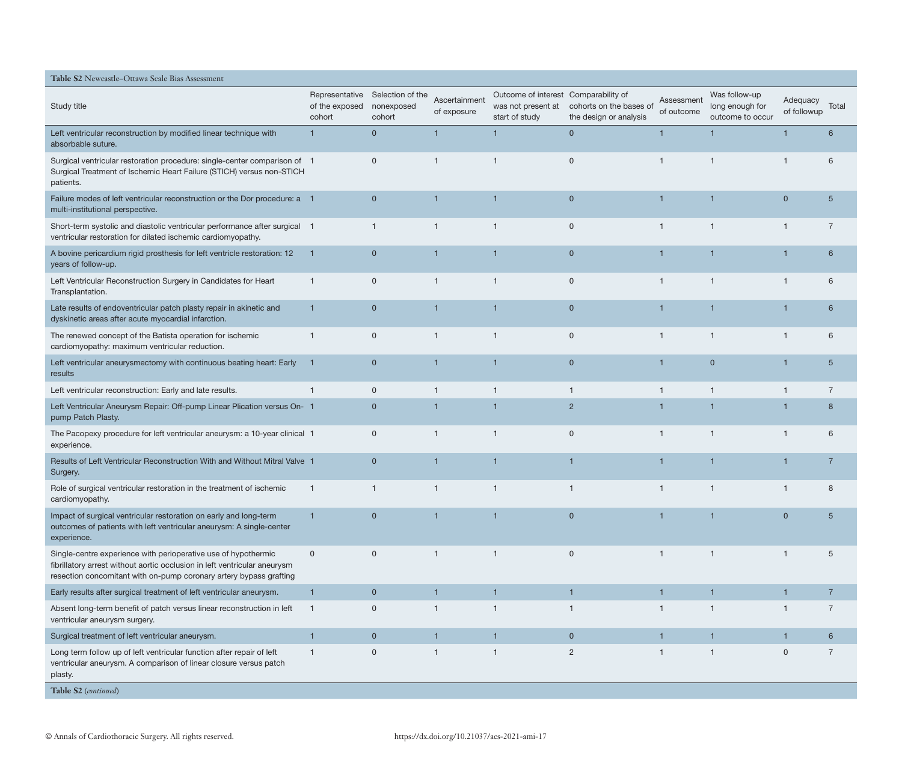| Table S2 Newcastle-Ottawa Scale Bias Assessment                                                                                                                                                                   |                          |                                                         |                              |                                                                              |                                                   |                          |                                                      |                         |                |
|-------------------------------------------------------------------------------------------------------------------------------------------------------------------------------------------------------------------|--------------------------|---------------------------------------------------------|------------------------------|------------------------------------------------------------------------------|---------------------------------------------------|--------------------------|------------------------------------------------------|-------------------------|----------------|
| Study title                                                                                                                                                                                                       | of the exposed<br>cohort | Representative Selection of the<br>nonexposed<br>cohort | Ascertainment<br>of exposure | Outcome of interest Comparability of<br>was not present at<br>start of study | cohorts on the bases of<br>the design or analysis | Assessment<br>of outcome | Was follow-up<br>long enough for<br>outcome to occur | Adequacy<br>of followup | Total          |
| Left ventricular reconstruction by modified linear technique with<br>absorbable suture.                                                                                                                           | $\overline{1}$           | $\mathbf{0}$                                            |                              | $\mathbf{1}$                                                                 | $\overline{0}$                                    |                          | $\overline{1}$                                       |                         | 6              |
| Surgical ventricular restoration procedure: single-center comparison of 1<br>Surgical Treatment of Ischemic Heart Failure (STICH) versus non-STICH<br>patients.                                                   |                          | $\mathbf 0$                                             | $\mathbf 1$                  | $\mathbf{1}$                                                                 | $\mathbf 0$                                       | $\mathbf{1}$             | $\mathbf{1}$                                         | $\overline{1}$          | 6              |
| Failure modes of left ventricular reconstruction or the Dor procedure: a 1<br>multi-institutional perspective.                                                                                                    |                          | $\mathbf 0$                                             |                              | $\mathbf{1}$                                                                 | $\mathbf{0}$                                      |                          | 1                                                    | $\overline{0}$          | 5              |
| Short-term systolic and diastolic ventricular performance after surgical 1<br>ventricular restoration for dilated ischemic cardiomyopathy.                                                                        |                          | $\overline{1}$                                          | $\mathbf{1}$                 | $\mathbf{1}$                                                                 | $\mathbf 0$                                       | $\overline{1}$           | $\overline{1}$                                       | $\overline{1}$          | $\overline{7}$ |
| A bovine pericardium rigid prosthesis for left ventricle restoration: 12<br>years of follow-up.                                                                                                                   | $\overline{\mathbf{1}}$  | $\mathbf 0$                                             |                              | $\overline{1}$                                                               | $\mathbf 0$                                       |                          | $\overline{1}$                                       |                         | 6              |
| Left Ventricular Reconstruction Surgery in Candidates for Heart<br>Transplantation.                                                                                                                               | $\overline{1}$           | $\mathbf 0$                                             |                              | $\mathbf{1}$                                                                 | $\mathbf 0$                                       |                          | -1                                                   | $\mathbf{1}$            | 6              |
| Late results of endoventricular patch plasty repair in akinetic and<br>dyskinetic areas after acute myocardial infarction.                                                                                        | 1                        | $\overline{0}$                                          |                              | $\overline{1}$                                                               | $\overline{0}$                                    |                          | 1                                                    | $\mathbf 1$             | 6              |
| The renewed concept of the Batista operation for ischemic<br>cardiomyopathy: maximum ventricular reduction.                                                                                                       | $\mathbf{1}$             | $\mathbf 0$                                             | $\mathbf{1}$                 | $\mathbf{1}$                                                                 | $\mathsf{O}$                                      | $\mathbf 1$              | $\overline{1}$                                       | $\mathbf{1}$            | 6              |
| Left ventricular aneurysmectomy with continuous beating heart: Early<br>results                                                                                                                                   | -1                       | $\overline{0}$                                          | 1                            | $\overline{1}$                                                               | $\mathbf{0}$                                      |                          | $\mathbf{0}$                                         | 1                       | 5              |
| Left ventricular reconstruction: Early and late results.                                                                                                                                                          |                          | $\mathbf 0$                                             |                              | $\mathbf{1}$                                                                 | $\mathbf{1}$                                      | -1                       | $\mathbf{1}$                                         | -1                      | $\overline{7}$ |
| Left Ventricular Aneurysm Repair: Off-pump Linear Plication versus On- 1<br>pump Patch Plasty.                                                                                                                    |                          | $\mathbf{0}$                                            |                              | $\mathbf{1}$                                                                 | $\overline{2}$                                    |                          | $\overline{1}$                                       | 1                       | 8              |
| The Pacopexy procedure for left ventricular aneurysm: a 10-year clinical 1<br>experience.                                                                                                                         |                          | $\mathbf 0$                                             | $\mathbf{1}$                 | $\overline{1}$                                                               | $\mathbf 0$                                       | $\overline{1}$           | $\overline{1}$                                       | $\overline{1}$          | 6              |
| Results of Left Ventricular Reconstruction With and Without Mitral Valve 1<br>Surgery.                                                                                                                            |                          | $\mathbf{0}$                                            |                              | $\overline{1}$                                                               | 1                                                 |                          | 1                                                    | 1                       | $\overline{7}$ |
| Role of surgical ventricular restoration in the treatment of ischemic<br>cardiomyopathy.                                                                                                                          | $\overline{1}$           | $\mathbf{1}$                                            | $\mathbf{1}$                 | $\mathbf{1}$                                                                 | $\overline{1}$                                    | $\overline{1}$           | $\overline{1}$                                       | $\overline{1}$          | 8              |
| Impact of surgical ventricular restoration on early and long-term<br>outcomes of patients with left ventricular aneurysm: A single-center<br>experience.                                                          |                          | $\mathbf 0$                                             |                              |                                                                              | $\Omega$                                          |                          |                                                      |                         |                |
| Single-centre experience with perioperative use of hypothermic<br>fibrillatory arrest without aortic occlusion in left ventricular aneurysm<br>resection concomitant with on-pump coronary artery bypass grafting | $\mathbf 0$              | $\mathbf 0$                                             | $\mathbf{1}$                 | $\mathbf{1}$                                                                 | $\mathbf 0$                                       | $\overline{1}$           | $\mathbf{1}$                                         | $\overline{1}$          | 5              |
| Early results after surgical treatment of left ventricular aneurysm.                                                                                                                                              | $\overline{1}$           | $\mathbf{0}$                                            | $\mathbf{1}$                 | $\mathbf{1}$                                                                 | $\mathbf{1}$                                      | $\overline{1}$           | $\mathbf{1}$                                         | $\mathbf{1}$            | $\overline{7}$ |
| Absent long-term benefit of patch versus linear reconstruction in left<br>ventricular aneurysm surgery.                                                                                                           | $\overline{1}$           | $\mathbf 0$                                             | $\mathbf{1}$                 | $\mathbf{1}$                                                                 | $\mathbf{1}$                                      | -1                       | $\mathbf{1}$                                         | $\mathbf{1}$            | $\overline{7}$ |
| Surgical treatment of left ventricular aneurysm.                                                                                                                                                                  | $\overline{1}$           | $\mathbf{0}$                                            | $\mathbf{1}$                 | $\mathbf{1}$                                                                 | $\overline{0}$                                    |                          | $\mathbf{1}$                                         | $\mathbf{1}$            | 6              |
| Long term follow up of left ventricular function after repair of left<br>ventricular aneurysm. A comparison of linear closure versus patch<br>plasty.                                                             | $\mathbf{1}$             | $\mathbf 0$                                             | $\mathbf{1}$                 | $\mathbf{1}$                                                                 | $\overline{2}$                                    | -1                       | $\mathbf{1}$                                         | $\mathbf 0$             | $\overline{7}$ |
| Table S2 (continued)                                                                                                                                                                                              |                          |                                                         |                              |                                                                              |                                                   |                          |                                                      |                         |                |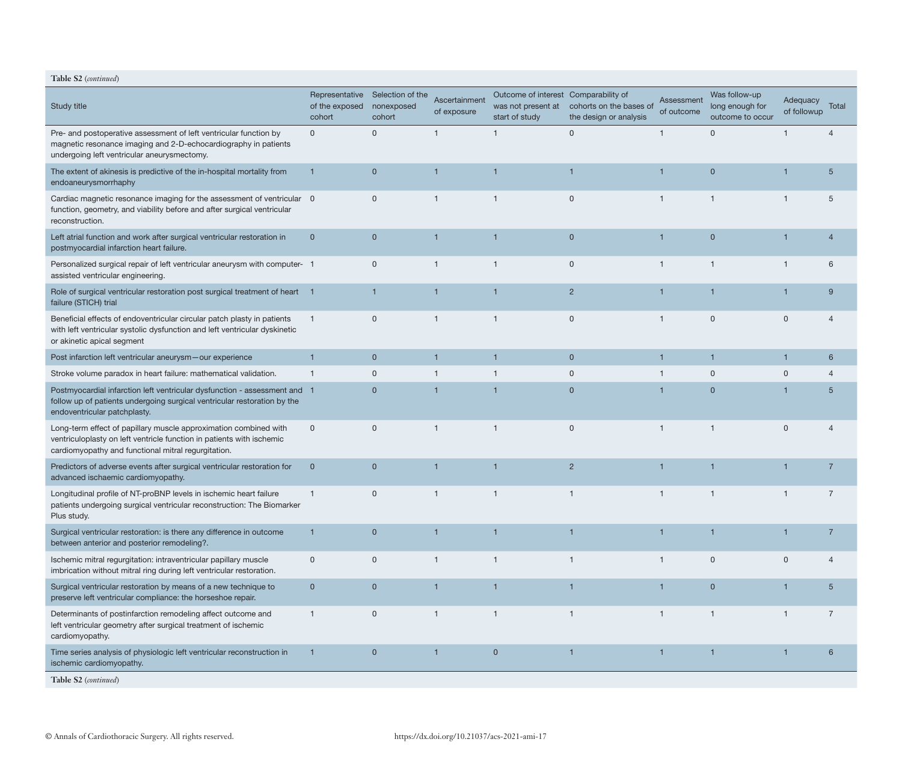| Table S2 (continued)                                                                                                                                                                             |                                     |                                           |                              |                                                                              |                                                   |                          |                                                      |                                |                 |
|--------------------------------------------------------------------------------------------------------------------------------------------------------------------------------------------------|-------------------------------------|-------------------------------------------|------------------------------|------------------------------------------------------------------------------|---------------------------------------------------|--------------------------|------------------------------------------------------|--------------------------------|-----------------|
| <b>Study title</b>                                                                                                                                                                               | of the exposed nonexposed<br>cohort | Representative Selection of the<br>cohort | Ascertainment<br>of exposure | Outcome of interest Comparability of<br>was not present at<br>start of study | cohorts on the bases of<br>the design or analysis | Assessment<br>of outcome | Was follow-up<br>long enough for<br>outcome to occur | <b>Adequacy</b><br>of followup | Total           |
| Pre- and postoperative assessment of left ventricular function by<br>magnetic resonance imaging and 2-D-echocardiography in patients<br>undergoing left ventricular aneurysmectomy.              | 0                                   | $\mathbf{0}$                              | $\mathbf{1}$                 | $\overline{1}$                                                               | $\mathbf 0$                                       | $\mathbf{1}$             | $\Omega$                                             |                                | 4               |
| The extent of akinesis is predictive of the in-hospital mortality from<br>endoaneurysmorrhaphy                                                                                                   | 1                                   | $\overline{0}$                            | 1                            | $\overline{\mathbf{1}}$                                                      | $\mathbf{1}$                                      | $\mathbf{1}$             | $\mathbf 0$                                          | 1                              | $5\overline{)}$ |
| Cardiac magnetic resonance imaging for the assessment of ventricular 0<br>function, geometry, and viability before and after surgical ventricular<br>reconstruction.                             |                                     | $\mathbf 0$                               | $\mathbf 1$                  | $\mathbf 1$                                                                  | $\mathbf 0$                                       | -1                       | 1                                                    |                                | 5               |
| Left atrial function and work after surgical ventricular restoration in<br>postmyocardial infarction heart failure.                                                                              | $\overline{0}$                      | $\overline{0}$                            | $\mathbf 1$                  | $\overline{\mathbf{1}}$                                                      | $\overline{0}$                                    | $\mathbf{1}$             | $\overline{0}$                                       |                                | $\overline{4}$  |
| Personalized surgical repair of left ventricular aneurysm with computer- 1<br>assisted ventricular engineering.                                                                                  |                                     | $\mathbf 0$                               | $\mathbf{1}$                 | $\overline{1}$                                                               | $\mathsf 0$                                       | $\mathbf{1}$             | $\overline{1}$                                       | 1                              | 6               |
| Role of surgical ventricular restoration post surgical treatment of heart 1<br>failure (STICH) trial                                                                                             |                                     | $\mathbf 1$                               | $\mathbf 1$                  | $\overline{1}$                                                               | $\overline{2}$                                    | $\mathbf{1}$             | 1                                                    | $\overline{1}$                 | 9               |
| Beneficial effects of endoventricular circular patch plasty in patients<br>with left ventricular systolic dysfunction and left ventricular dyskinetic<br>or akinetic apical segment              | $\mathbf{1}$                        | $\mathbf 0$                               | 1                            | $\mathbf 1$                                                                  | $\mathbf{0}$                                      | -1                       | $\Omega$                                             | $\mathbf{0}$                   | 4               |
| Post infarction left ventricular aneurysm-our experience                                                                                                                                         | $\mathbf{1}$                        | $\mathbf{0}$                              | $\mathbf{1}$                 | $\mathbf{1}$                                                                 | $\mathbf 0$                                       | $\mathbf{1}$             | $\mathbf 1$                                          | $\mathbf{1}$                   | 6               |
| Stroke volume paradox in heart failure: mathematical validation.                                                                                                                                 | -1                                  | $\mathbf 0$                               | $\mathbf{1}$                 | $\overline{1}$                                                               | $\mathbf 0$                                       |                          | $\Omega$                                             | $\mathbf 0$                    | $\overline{4}$  |
| Postmyocardial infarction left ventricular dysfunction - assessment and 1<br>follow up of patients undergoing surgical ventricular restoration by the<br>endoventricular patchplasty.            |                                     | $\overline{0}$                            |                              | $\overline{\mathbf{1}}$                                                      | $\overline{0}$                                    |                          | $\Omega$                                             |                                | $5\overline{)}$ |
| Long-term effect of papillary muscle approximation combined with<br>ventriculoplasty on left ventricle function in patients with ischemic<br>cardiomyopathy and functional mitral regurgitation. | $\mathbf 0$                         | $\mathbf 0$                               | $\mathbf{1}$                 | $\overline{1}$                                                               | $\mathbf 0$                                       | $\mathbf{1}$             | $\mathbf{1}$                                         | $\mathbf{0}$                   | 4               |
| Predictors of adverse events after surgical ventricular restoration for<br>advanced ischaemic cardiomyopathy.                                                                                    | $\mathbf 0$                         | $\mathbf{0}$                              | 1                            | $\overline{\mathbf{1}}$                                                      | $\overline{2}$                                    | $\mathbf{1}$             | 1                                                    | 1                              | $\overline{7}$  |
| Longitudinal profile of NT-proBNP levels in ischemic heart failure<br>patients undergoing surgical ventricular reconstruction: The Biomarker<br>Plus study.                                      | $\mathbf{1}$                        | $\mathbf 0$                               | $\mathbf{1}$                 | $\overline{1}$                                                               | $\mathbf{1}$                                      | $\mathbf{1}$             | $\mathbf{1}$                                         | $\mathbf{1}$                   | $\overline{7}$  |
| Surgical ventricular restoration: is there any difference in outcome<br>between anterior and posterior remodeling?.                                                                              | 1                                   | $\overline{0}$                            |                              | $\overline{1}$                                                               |                                                   |                          |                                                      |                                |                 |
| Ischemic mitral regurgitation: intraventricular papillary muscle<br>imbrication without mitral ring during left ventricular restoration.                                                         | $\mathbf 0$                         | $\mathbf 0$                               | $\mathbf{1}$                 | $\overline{1}$                                                               | $\mathbf{1}$                                      | $\overline{1}$           | $\mathbf 0$                                          | $\mathbf 0$                    | 4               |
| Surgical ventricular restoration by means of a new technique to<br>preserve left ventricular compliance: the horseshoe repair.                                                                   | $\overline{0}$                      | $\overline{0}$                            | 1                            | $\mathbf{1}$                                                                 |                                                   |                          | $\mathbf 0$                                          |                                | $5\overline{)}$ |
| Determinants of postinfarction remodeling affect outcome and<br>left ventricular geometry after surgical treatment of ischemic<br>cardiomyopathy.                                                | $\mathbf{1}$                        | $\mathbf 0$                               | $\mathbf{1}$                 | $\overline{1}$                                                               | $\mathbf{1}$                                      | $\mathbf{1}$             | $\mathbf{1}$                                         | $\mathbf 1$                    | $\overline{7}$  |
| Time series analysis of physiologic left ventricular reconstruction in<br>ischemic cardiomyopathy.                                                                                               |                                     | $\overline{0}$                            | 1                            | $\mathbf 0$                                                                  | 1                                                 | 1                        | 1                                                    |                                | 6               |
| Table S2 (continued)                                                                                                                                                                             |                                     |                                           |                              |                                                                              |                                                   |                          |                                                      |                                |                 |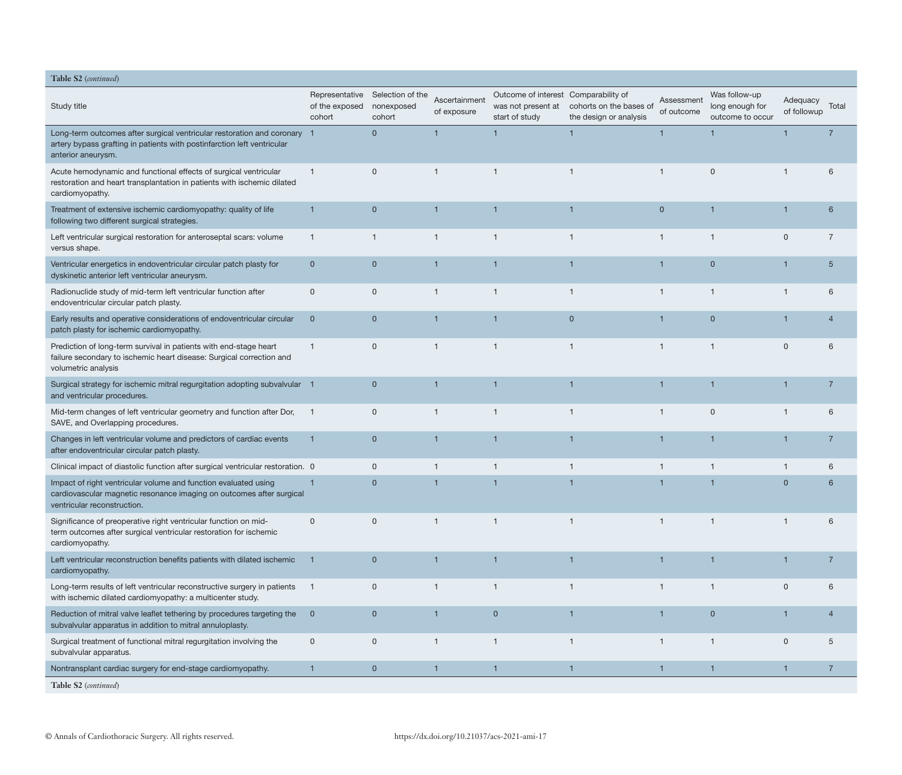| Table S2 (continued)                                                                                                                                                      |                          |                                                         |                              |                                                                              |                                                   |                          |                                                      |                         |                |
|---------------------------------------------------------------------------------------------------------------------------------------------------------------------------|--------------------------|---------------------------------------------------------|------------------------------|------------------------------------------------------------------------------|---------------------------------------------------|--------------------------|------------------------------------------------------|-------------------------|----------------|
| Study title                                                                                                                                                               | of the exposed<br>cohort | Representative Selection of the<br>nonexposed<br>cohort | Ascertainment<br>of exposure | Outcome of interest Comparability of<br>was not present at<br>start of study | cohorts on the bases of<br>the design or analysis | Assessment<br>of outcome | Was follow-up<br>long enough for<br>outcome to occur | Adequacy<br>of followup | Total          |
| Long-term outcomes after surgical ventricular restoration and coronary 1<br>artery bypass grafting in patients with postinfarction left ventricular<br>anterior aneurysm. |                          | $\overline{0}$                                          |                              | $\overline{1}$                                                               | 1                                                 |                          | $\overline{1}$                                       |                         |                |
| Acute hemodynamic and functional effects of surgical ventricular<br>restoration and heart transplantation in patients with ischemic dilated<br>cardiomyopathy.            | $\mathbf{1}$             | $\mathbf 0$                                             | $\mathbf{1}$                 | -1                                                                           | $\mathbf{1}$                                      | $\mathbf{1}$             | 0                                                    | $\mathbf 1$             | 6              |
| Treatment of extensive ischemic cardiomyopathy: quality of life<br>following two different surgical strategies.                                                           | $\mathbf 1$              | $\overline{0}$                                          | $\mathbf{1}$                 | $\mathbf 1$                                                                  | $\overline{1}$                                    | $\overline{0}$           | $\overline{1}$                                       | $\mathbf{1}$            | 6              |
| Left ventricular surgical restoration for anteroseptal scars: volume<br>versus shape.                                                                                     | $\mathbf{1}$             | $\mathbf{1}$                                            | $\mathbf{1}$                 | -1                                                                           | $\mathbf{1}$                                      | $\mathbf{1}$             | $\mathbf{1}$                                         | $\mathbf{0}$            | $\overline{7}$ |
| Ventricular energetics in endoventricular circular patch plasty for<br>dyskinetic anterior left ventricular aneurysm.                                                     | $\mathbf 0$              | $\mathbf{0}$                                            | $\mathbf{1}$                 | $\mathbf{1}$                                                                 | $\mathbf{1}$                                      | $\overline{\mathbf{1}}$  | $\mathbf{0}$                                         | $\mathbf 1$             | $\overline{5}$ |
| Radionuclide study of mid-term left ventricular function after<br>endoventricular circular patch plasty.                                                                  | $\mathbf 0$              | $\mathbf 0$                                             | $\mathbf{1}$                 | $\overline{1}$                                                               | $\mathbf{1}$                                      | $\mathbf{1}$             | $\overline{1}$                                       | $\mathbf{1}$            | 6              |
| Early results and operative considerations of endoventricular circular<br>patch plasty for ischemic cardiomyopathy.                                                       | $\overline{0}$           | $\mathbf{0}$                                            | 1                            | 1                                                                            | $\overline{0}$                                    |                          | $\mathbf{0}$                                         | $\mathbf 1$             | $\overline{4}$ |
| Prediction of long-term survival in patients with end-stage heart<br>failure secondary to ischemic heart disease: Surgical correction and<br>volumetric analysis          | $\mathbf{1}$             | $\mathbf 0$                                             | $\mathbf{1}$                 | $\overline{1}$                                                               | $\mathbf{1}$                                      | $\mathbf{1}$             | $\overline{1}$                                       | $\mathbf 0$             | 6              |
| Surgical strategy for ischemic mitral regurgitation adopting subvalvular 1<br>and ventricular procedures.                                                                 |                          | $\mathbf{0}$                                            | 1                            | $\overline{1}$                                                               | $\mathbf 1$                                       |                          | $\mathbf 1$                                          | $\mathbf 1$             | 7              |
| Mid-term changes of left ventricular geometry and function after Dor,<br>SAVE, and Overlapping procedures.                                                                |                          | $\mathbf 0$                                             | $\mathbf{1}$                 | $\overline{1}$                                                               | $\overline{1}$                                    | $\mathbf{1}$             | $\mathbf{0}$                                         | $\mathbf{1}$            | 6              |
| Changes in left ventricular volume and predictors of cardiac events<br>after endoventricular circular patch plasty.                                                       | 1                        | $\mathbf{0}$                                            |                              |                                                                              | 1                                                 |                          |                                                      | 1                       | 7              |
| Clinical impact of diastolic function after surgical ventricular restoration. 0                                                                                           |                          | 0                                                       | $\mathbf{1}$                 | $\mathbf{1}$                                                                 | $\mathbf{1}$                                      | $\mathbf{1}$             | $\mathbf{1}$                                         | $\mathbf{1}$            | 6              |
| Impact of right ventricular volume and function evaluated using<br>cardiovascular magnetic resonance imaging on outcomes after surgical<br>ventricular reconstruction.    |                          | $\overline{0}$                                          | $\mathbf{1}$                 | $\overline{1}$                                                               | $\overline{1}$                                    |                          | $\overline{1}$                                       | $\overline{0}$          | 6              |
| Significance of preoperative right ventricular function on mid-<br>term outcomes after surgical ventricular restoration for ischemic<br>cardiomyopathy.                   | 0                        |                                                         |                              |                                                                              |                                                   |                          |                                                      |                         |                |
| Left ventricular reconstruction benefits patients with dilated ischemic<br>cardiomyopathy.                                                                                | $\overline{1}$           | $\overline{0}$                                          | $\mathbf{1}$                 | $\overline{1}$                                                               | $\overline{1}$                                    | $\overline{1}$           | $\overline{1}$                                       | $\mathbf{1}$            | $\overline{7}$ |
| Long-term results of left ventricular reconstructive surgery in patients<br>with ischemic dilated cardiomyopathy: a multicenter study.                                    | $\overline{1}$           | $\mathbf 0$                                             | $\mathbf{1}$                 | $\mathbf{1}$                                                                 | $\mathbf{1}$                                      | $\mathbf{1}$             | $\overline{1}$                                       | $\mathbf 0$             | 6              |
| Reduction of mitral valve leaflet tethering by procedures targeting the<br>subvalvular apparatus in addition to mitral annuloplasty.                                      | $\overline{0}$           | $\overline{0}$                                          | $\mathbf{1}$                 | $\overline{0}$                                                               | $\mathbf{1}$                                      | $\mathbf{1}$             | $\overline{0}$                                       | $\mathbf{1}$            | $\overline{4}$ |
| Surgical treatment of functional mitral regurgitation involving the<br>subvalvular apparatus.                                                                             | $\mathsf{O}\xspace$      | $\mathsf{O}$                                            | $\mathbf{1}$                 | $\mathbf{1}$                                                                 | $\mathbf{1}$                                      | $\mathbf{1}$             | $\overline{1}$                                       | $\mathbf 0$             | 5              |
| Nontransplant cardiac surgery for end-stage cardiomyopathy.                                                                                                               | $\mathbf 1$              | $\overline{0}$                                          | $\mathbf{1}$                 | $\overline{1}$                                                               | $\overline{1}$                                    |                          | $\vert$ 1                                            | $\mathbf{1}$            | $\overline{7}$ |
| Table S2 (continued)                                                                                                                                                      |                          |                                                         |                              |                                                                              |                                                   |                          |                                                      |                         |                |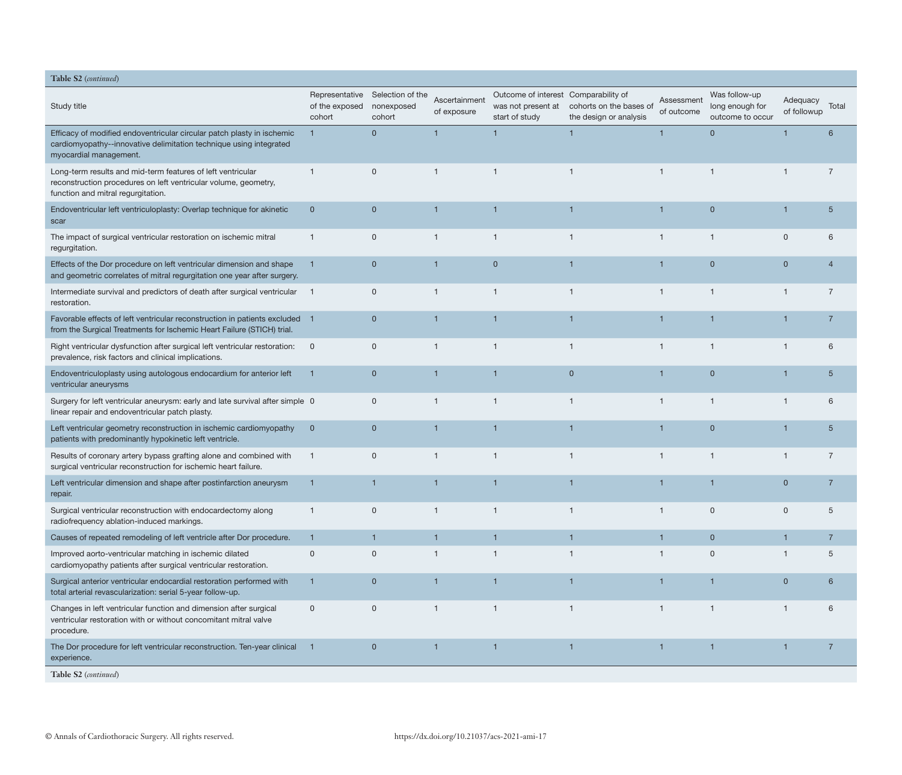| Table S2 (continued)                                                                                                                                                   |                          |                                                         |                              |                                                                              |                                                   |                          |                                                      |                         |                |
|------------------------------------------------------------------------------------------------------------------------------------------------------------------------|--------------------------|---------------------------------------------------------|------------------------------|------------------------------------------------------------------------------|---------------------------------------------------|--------------------------|------------------------------------------------------|-------------------------|----------------|
| Study title                                                                                                                                                            | of the exposed<br>cohort | Representative Selection of the<br>nonexposed<br>cohort | Ascertainment<br>of exposure | Outcome of interest Comparability of<br>was not present at<br>start of study | cohorts on the bases of<br>the design or analysis | Assessment<br>of outcome | Was follow-up<br>long enough for<br>outcome to occur | Adequacy<br>of followup | Total          |
| Efficacy of modified endoventricular circular patch plasty in ischemic<br>cardiomyopathy--innovative delimitation technique using integrated<br>myocardial management. |                          | $\overline{0}$                                          | 1                            | $\overline{1}$                                                               | $\mathbf{1}$                                      |                          | $\mathbf{0}$                                         |                         | 6              |
| Long-term results and mid-term features of left ventricular<br>reconstruction procedures on left ventricular volume, geometry,<br>function and mitral regurgitation.   | $\mathbf{1}$             | $\mathsf{O}$                                            | $\mathbf 1$                  | $\mathbf{1}$                                                                 | $\mathbf{1}$                                      | $\mathbf{1}$             | $\mathbf 1$                                          | $\mathbf{1}$            | $\overline{7}$ |
| Endoventricular left ventriculoplasty: Overlap technique for akinetic<br>scar                                                                                          | $\mathbf 0$              | $\mathbf{0}$                                            | 1                            | 1                                                                            | 1                                                 |                          | $\mathbf 0$                                          | $\mathbf 1$             | 5              |
| The impact of surgical ventricular restoration on ischemic mitral<br>regurgitation.                                                                                    | $\mathbf{1}$             | $\mathbf 0$                                             | $\mathbf{1}$                 | $\mathbf{1}$                                                                 | $\mathbf{1}$                                      | $\mathbf{1}$             | $\mathbf{1}$                                         | $\mathbf{0}$            | 6              |
| Effects of the Dor procedure on left ventricular dimension and shape<br>and geometric correlates of mitral regurgitation one year after surgery.                       | $\mathbf{1}$             | $\mathbf{0}$                                            | $\mathbf 1$                  | $\overline{0}$                                                               | $\overline{1}$                                    | $\mathbf 1$              | $\mathbf{0}$                                         | $\mathbf 0$             | $\overline{4}$ |
| Intermediate survival and predictors of death after surgical ventricular<br>restoration.                                                                               | $\blacksquare$ 1         | $\mathsf{O}$                                            | $\overline{1}$               | $\overline{1}$                                                               | $\overline{1}$                                    | $\mathbf{1}$             | $\mathbf{1}$                                         | $\mathbf{1}$            | $\overline{7}$ |
| Favorable effects of left ventricular reconstruction in patients excluded 1<br>from the Surgical Treatments for Ischemic Heart Failure (STICH) trial.                  |                          | $\overline{0}$                                          | 1                            | 1                                                                            | $\mathbf 1$                                       |                          | $\overline{1}$                                       | $\mathbf 1$             | $\overline{7}$ |
| Right ventricular dysfunction after surgical left ventricular restoration:<br>prevalence, risk factors and clinical implications.                                      | $\overline{0}$           | $\mathbf 0$                                             | $\mathbf{1}$                 | $\mathbf{1}$                                                                 | $\overline{1}$                                    | $\mathbf{1}$             | $\mathbf{1}$                                         | $\mathbf{1}$            | 6              |
| Endoventriculoplasty using autologous endocardium for anterior left<br>ventricular aneurysms                                                                           | -1                       | $\mathbf{0}$                                            | 1                            | 1                                                                            | $\mathbf{0}$                                      |                          | $\mathbf{0}$                                         | 1                       | 5              |
| Surgery for left ventricular aneurysm: early and late survival after simple 0<br>linear repair and endoventricular patch plasty.                                       |                          | $\mathbf 0$                                             | 1                            | -1                                                                           | $\mathbf{1}$                                      | 1                        | -1                                                   | $\mathbf{1}$            | 6              |
| Left ventricular geometry reconstruction in ischemic cardiomyopathy<br>patients with predominantly hypokinetic left ventricle.                                         | $\mathbf 0$              | $\overline{0}$                                          | 1                            | $\overline{1}$                                                               | $\overline{1}$                                    |                          | $\mathbf{0}$                                         | $\mathbf{1}$            | $5\phantom{1}$ |
| Results of coronary artery bypass grafting alone and combined with<br>surgical ventricular reconstruction for ischemic heart failure.                                  | $\overline{1}$           | $\mathbf 0$                                             | $\mathbf{1}$                 | $\overline{1}$                                                               | $\overline{1}$                                    | $\mathbf{1}$             | $\overline{1}$                                       | $\mathbf{1}$            | $\overline{7}$ |
| Left ventricular dimension and shape after postinfarction aneurysm<br>repair.                                                                                          | $\mathbf{1}$             | $\mathbf 1$                                             | 1                            | $\overline{1}$                                                               | $\mathbf 1$                                       |                          | $\mathbf 1$                                          | $\overline{0}$          | $\overline{7}$ |
| Surgical ventricular reconstruction with endocardectomy along<br>radiofrequency ablation-induced markings.                                                             | $\mathbf{1}$             | $\mathbf{0}$                                            | 1                            |                                                                              | 1                                                 | 1                        | $\Omega$                                             | 0                       | 5              |
| Causes of repeated remodeling of left ventricle after Dor procedure.                                                                                                   | 1                        | 1                                                       | $\mathbf{1}$                 | $\mathbf{1}$                                                                 | $\mathbf{1}$                                      |                          | $\overline{0}$                                       | 1                       | $\overline{7}$ |
| Improved aorto-ventricular matching in ischemic dilated<br>cardiomyopathy patients after surgical ventricular restoration.                                             | $\mathbf 0$              | $\mathsf{O}$                                            | $\mathbf{1}$                 | $\overline{1}$                                                               | $\mathbf{1}$                                      | $\mathbf{1}$             | $\mathbf 0$                                          | $\mathbf{1}$            | 5              |
| Surgical anterior ventricular endocardial restoration performed with<br>total arterial revascularization: serial 5-year follow-up.                                     | $\mathbf{1}$             | $\mathbf 0$                                             | $\mathbf{1}$                 | $\overline{1}$                                                               | $\mathbf{1}$                                      | $\mathbf 1$              | $\overline{1}$                                       | $\mathbf{0}$            | 6              |
| Changes in left ventricular function and dimension after surgical<br>ventricular restoration with or without concomitant mitral valve<br>procedure.                    | $\mathbf 0$              | $\mathbf 0$                                             | $\mathbf{1}$                 | $\mathbf 1$                                                                  | $\overline{1}$                                    | $\mathbf{1}$             | $\mathbf 1$                                          | $\mathbf{1}$            | 6              |
| The Dor procedure for left ventricular reconstruction. Ten-year clinical<br>experience.                                                                                | - 1                      | $\mathbf 0$                                             | $\mathbf{1}$                 | $\overline{1}$                                                               | $\mathbf{1}$                                      | 1                        | $\mathbf{1}$                                         | 1                       | $\overline{7}$ |
| Table S2 (continued)                                                                                                                                                   |                          |                                                         |                              |                                                                              |                                                   |                          |                                                      |                         |                |